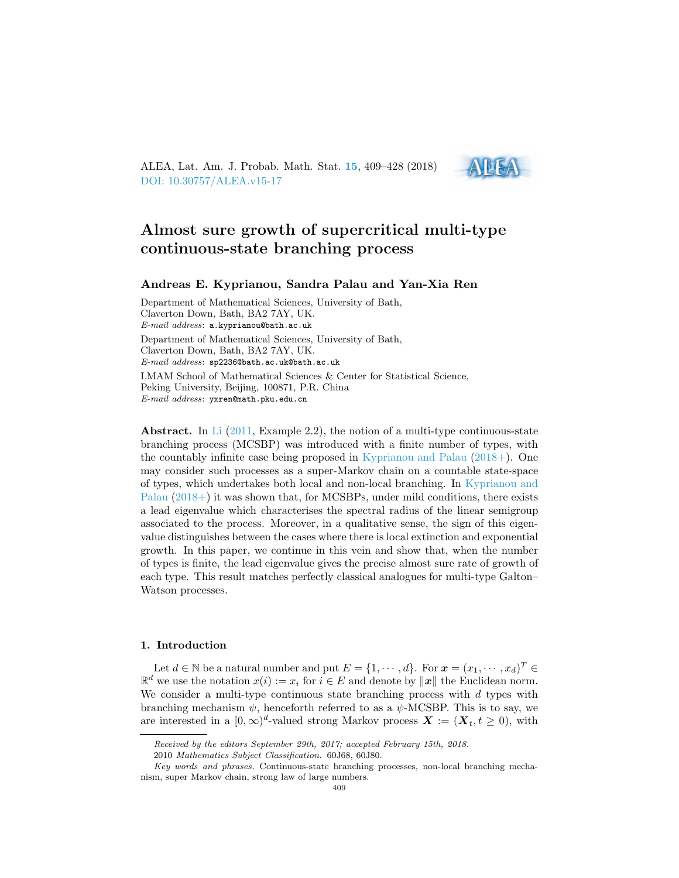ALEA, Lat. Am. J. Probab. Math. Stat. [15](http://alea.impa.br/english/index_v15.htm), 409–428 (2018) [DOI: 10.30757/ALEA.v15-17](https://doi.org/10.30757/ALEA.v15-17)



# Almost sure growth of supercritical multi-type continuous-state branching process

### Andreas E. Kyprianou, Sandra Palau and Yan-Xia Ren

Department of Mathematical Sciences, University of Bath, Claverton Down, Bath, BA2 7AY, UK. E-mail address: a.kyprianou@bath.ac.uk Department of Mathematical Sciences, University of Bath, Claverton Down, Bath, BA2 7AY, UK. E-mail address: sp2236@bath.ac.uk@bath.ac.uk LMAM School of Mathematical Sciences & Center for Statistical Science, Peking University, Beijing, 100871, P.R. China E-mail address: yxren@math.pku.edu.cn

Abstract. In [Li](#page-19-0)  $(2011, \text{Example } 2.2)$  $(2011, \text{Example } 2.2)$ , the notion of a multi-type continuous-state branching process (MCSBP) was introduced with a finite number of types, with the countably infinite case being proposed in [Kyprianou and Palau](#page-19-1) [\(2018+](#page-19-1)). One may consider such processes as a super-Markov chain on a countable state-space of ty[pes, which undertakes both local and non-local branching. In](#page-19-1) Kyprianou and Palau  $(2018+)$  $(2018+)$  it was shown that, for MCSBPs, under mild conditions, there exists a lead eigenvalue which characterises the spectral radius of the linear semigroup associated to the process. Moreover, in a qualitative sense, the sign of this eigenvalue distinguishes between the cases where there is local extinction and exponential growth. In this paper, we continue in this vein and show that, when the number of types is finite, the lead eigenvalue gives the precise almost sure rate of growth of each type. This result matches perfectly classical analogues for multi-type Galton– Watson processes.

## 1. Introduction

Let  $d \in \mathbb{N}$  be a natural number and put  $E = \{1, \dots, d\}$ . For  $\mathbf{x} = (x_1, \dots, x_d)^T \in$  $\mathbb{R}^d$  we use the notation  $x(i) := x_i$  for  $i \in E$  and denote by  $\|\mathbf{x}\|$  the Euclidean norm. We consider a multi-type continuous state branching process with  $d$  types with branching mechanism  $\psi$ , henceforth referred to as a  $\psi$ -MCSBP. This is to say, we are interested in a  $[0,\infty)^d$ -valued strong Markov process  $\boldsymbol{X} := (\boldsymbol{X}_t, t \geq 0)$ , with

Received by the editors September 29th, 2017; accepted February 15th, 2018.

<sup>2010</sup> Mathematics Subject Classification. 60J68, 60J80.

Key words and phrases. Continuous-state branching processes, non-local branching mechanism, super Markov chain, strong law of large numbers.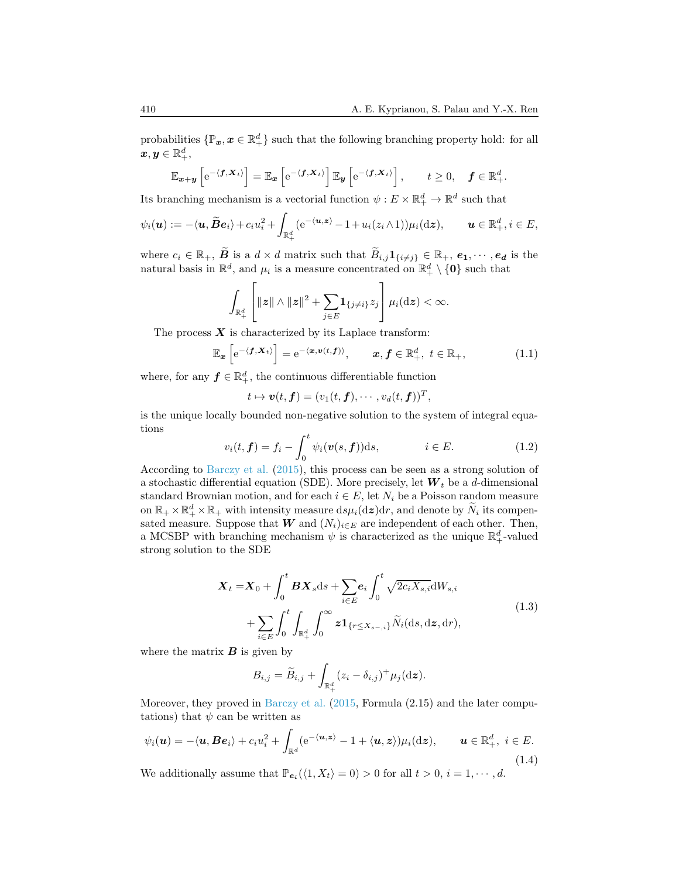probabilities  $\{\mathbb{P}_x, x \in \mathbb{R}_+^d\}$  such that the following branching property hold: for all  $\boldsymbol{x},\boldsymbol{y}\in\mathbb{R}^d_+,$ 

$$
\mathbb{E}_{\boldsymbol{x}+\boldsymbol{y}}\left[e^{-\langle \boldsymbol{f}, \boldsymbol{X}_t\rangle}\right] = \mathbb{E}_{\boldsymbol{x}}\left[e^{-\langle \boldsymbol{f}, \boldsymbol{X}_t\rangle}\right] \mathbb{E}_{\boldsymbol{y}}\left[e^{-\langle \boldsymbol{f}, \boldsymbol{X}_t\rangle}\right], \qquad t \geq 0, \quad \boldsymbol{f} \in \mathbb{R}_+^d.
$$

Its branching mechanism is a vectorial function  $\psi: E \times \mathbb{R}^d_+ \to \mathbb{R}^d$  such that

$$
\psi_i(\boldsymbol{u}) := -\langle \boldsymbol{u}, \widetilde{\boldsymbol{B}} \boldsymbol{e}_i \rangle + c_i u_i^2 + \int_{\mathbb{R}_+^d} (e^{-\langle \boldsymbol{u}, \boldsymbol{z} \rangle} - 1 + u_i(z_i \wedge 1)) \mu_i(\mathrm{d}\boldsymbol{z}), \qquad \boldsymbol{u} \in \mathbb{R}_+^d, i \in E,
$$

where  $c_i \in \mathbb{R}_+$ ,  $\widetilde{B}$  is a  $d \times d$  matrix such that  $\widetilde{B}_{i,j}1_{\{i \neq j\}} \in \mathbb{R}_+$ ,  $e_1, \dots, e_d$  is the natural basis in  $\mathbb{R}^d$ , and  $\mu_i$  is a measure concentrated on  $\mathbb{R}^d_+ \setminus \{0\}$  such that

$$
\int_{\mathbb{R}_+^d}\left[\|{\boldsymbol z}\|\wedge\|{\boldsymbol z}\|^2+\sum_{j\in E}{\boldsymbol 1}_{\{j\neq i\}}z_j\right]\mu_i(\mathrm{d}{\boldsymbol z})<\infty.
$$

The process  $X$  is characterized by its Laplace transform:

<span id="page-1-1"></span>
$$
\mathbb{E}_{\boldsymbol{x}}\left[e^{-\langle \boldsymbol{f}, \boldsymbol{X}_t \rangle}\right] = e^{-\langle \boldsymbol{x}, \boldsymbol{v}(t, \boldsymbol{f}) \rangle}, \qquad \boldsymbol{x}, \boldsymbol{f} \in \mathbb{R}^d_+, \ t \in \mathbb{R}_+, \tag{1.1}
$$

where, for any  $f \in \mathbb{R}^d_+$ , the continuous differentiable function

$$
t\mapsto \boldsymbol{v}(t,\boldsymbol{f})=(v_1(t,\boldsymbol{f}),\cdots,v_d(t,\boldsymbol{f}))^T,
$$

is the unique locally bounded non-negative solution to the system of integral equations

<span id="page-1-2"></span>
$$
v_i(t, \mathbf{f}) = f_i - \int_0^t \psi_i(\mathbf{v}(s, \mathbf{f})) \mathrm{d}s, \qquad i \in E. \tag{1.2}
$$

According to [Barczy et al.](#page-18-0) [\(2015\)](#page-18-0), this process can be seen as a strong solution of a stochastic differential equation (SDE). More precisely, let  $W_t$  be a d-dimensional standard Brownian motion, and for each  $i \in E$ , let  $N_i$  be a Poisson random measure on  $\mathbb{R}_+ \times \mathbb{R}_+^d \times \mathbb{R}_+$  with intensity measure  $ds\mu_i(dz)dr$ , and denote by  $\widetilde{N}_i$  its compensated measure. Suppose that  $\tilde{W}$  and  $(N_i)_{i \in E}$  are independent of each other. Then, a MCSBP with branching mechanism  $\psi$  is characterized as the unique  $\mathbb{R}^d_+$ -valued strong solution to the SDE

$$
\mathbf{X}_{t} = \mathbf{X}_{0} + \int_{0}^{t} \mathbf{B} \mathbf{X}_{s} \mathrm{d}s + \sum_{i \in E} e_{i} \int_{0}^{t} \sqrt{2c_{i} X_{s,i}} \mathrm{d}W_{s,i} + \sum_{i \in E} \int_{0}^{t} \int_{\mathbb{R}_{+}^{d}} \int_{0}^{\infty} z \mathbf{1}_{\{r \leq X_{s-,i}\}} \widetilde{N}_{i}(\mathrm{d}s, \mathrm{d}z, \mathrm{d}r), \tag{1.3}
$$

<span id="page-1-3"></span>where the matrix  $\boldsymbol{B}$  is given by

$$
B_{i,j} = \widetilde{B}_{i,j} + \int_{\mathbb{R}_+^d} (z_i - \delta_{i,j})^+ \mu_j(\mathrm{d}\boldsymbol{z}).
$$

Moreover, they proved in [Barczy et al.](#page-18-0) [\(2015,](#page-18-0) Formula (2.15) and the later computations) that  $\psi$  can be written as

<span id="page-1-0"></span>
$$
\psi_i(\boldsymbol{u}) = -\langle \boldsymbol{u}, \boldsymbol{B}\boldsymbol{e}_i \rangle + c_i u_i^2 + \int_{\mathbb{R}^d} (e^{-\langle \boldsymbol{u}, \boldsymbol{z} \rangle} - 1 + \langle \boldsymbol{u}, \boldsymbol{z} \rangle) \mu_i(\mathrm{d}\boldsymbol{z}), \qquad \boldsymbol{u} \in \mathbb{R}^d_+, \ i \in E. \tag{1.4}
$$

We additionally assume that  $\mathbb{P}_{e_i}(\langle 1, X_t \rangle = 0) > 0$  for all  $t > 0$ ,  $i = 1, \dots, d$ .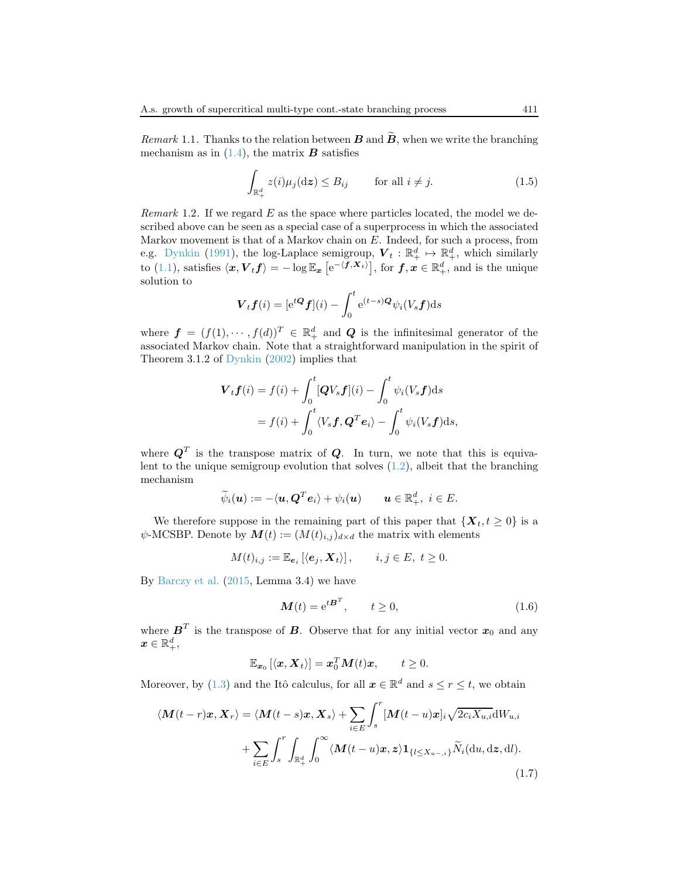Remark 1.1. Thanks to the relation between  $\bf{B}$  and  $\bf{B}$ , when we write the branching mechanism as in  $(1.4)$ , the matrix **B** satisfies

<span id="page-2-1"></span>
$$
\int_{\mathbb{R}_+^d} z(i)\mu_j(\mathrm{d}z) \le B_{ij} \qquad \text{for all } i \ne j.
$$
\n(1.5)

*Remark* 1.2. If we regard  $E$  as the space where particles located, the model we described above can be seen as a special case of a superprocess in which the associated Markov movement is that of a Markov chain on  $E$ . Indeed, for such a process, from e.g. [Dynkin](#page-19-2) [\(1991](#page-19-2)), the log-Laplace semigroup,  $\mathbf{V}_t : \mathbb{R}_+^d \mapsto \mathbb{R}_+^d$ , which similarly to [\(1.1\)](#page-1-1), satisfies  $\langle x, V_t f \rangle = -\log \mathbb{E}_x \left[ e^{-\langle f, X_t \rangle} \right]$ , for  $f, x \in \mathbb{R}_+^d$ , and is the unique solution to

$$
\boldsymbol{V}_t \boldsymbol{f}(i) = [\mathrm{e}^{t\boldsymbol{Q}} \boldsymbol{f}](i) - \int_0^t \mathrm{e}^{(t-s)\boldsymbol{Q}} \psi_i(V_s \boldsymbol{f}) \mathrm{d}s
$$

where  $f = (f(1), \dots, f(d))^T \in \mathbb{R}_+^d$  and Q is the infinitesimal generator of the associated Markov chain. Note that a straightforward manipulation in the spirit of Theorem 3.1.2 of [Dynkin](#page-19-3) [\(2002](#page-19-3)) implies that

$$
\mathbf{V}_{t}\mathbf{f}(i) = f(i) + \int_{0}^{t} [\mathbf{Q}V_{s}\mathbf{f}](i) - \int_{0}^{t} \psi_{i}(V_{s}\mathbf{f}) ds
$$

$$
= f(i) + \int_{0}^{t} \langle V_{s}\mathbf{f}, \mathbf{Q}^{T}\mathbf{e}_{i} \rangle - \int_{0}^{t} \psi_{i}(V_{s}\mathbf{f}) ds,
$$

where  $\boldsymbol{Q}^T$  is the transpose matrix of  $\boldsymbol{Q}$ . In turn, we note that this is equivalent to the unique semigroup evolution that solves  $(1.2)$ , albeit that the branching mechanism

$$
\widetilde{\psi}_i(\boldsymbol{u}) := -\langle \boldsymbol{u}, \boldsymbol{Q}^T \boldsymbol{e}_i \rangle + \psi_i(\boldsymbol{u}) \qquad \boldsymbol{u} \in \mathbb{R}_+^d, \ i \in E.
$$

We therefore suppose in the remaining part of this paper that  $\{X_t, t \geq 0\}$  is a  $\psi$ -MCSBP. Denote by  $\mathbf{M}(t) := (M(t)_{i,j})_{d \times d}$  the matrix with elements

$$
M(t)_{i,j} := \mathbb{E}_{\mathbf{e}_i} \left[ \langle \mathbf{e}_j, \mathbf{X}_t \rangle \right], \qquad i, j \in E, \ t \ge 0.
$$

By [Barczy et al.](#page-18-0) [\(2015](#page-18-0), Lemma 3.4) we have

<span id="page-2-0"></span>
$$
\mathbf{M}(t) = e^{t\mathbf{B}^T}, \qquad t \ge 0,
$$
\n(1.6)

where  $\boldsymbol{B}^T$  is the transpose of  $\boldsymbol{B}$ . Observe that for any initial vector  $\boldsymbol{x}_0$  and any  $\boldsymbol{x} \in \mathbb{R}_{+}^{d},$ 

$$
\mathbb{E}_{\boldsymbol{x}_0}\left[\langle \boldsymbol{x}, \boldsymbol{X}_t \rangle\right] = \boldsymbol{x}_0^T \boldsymbol{M}(t) \boldsymbol{x}, \qquad t \geq 0.
$$

Moreover, by [\(1.3\)](#page-1-3) and the Itô calculus, for all  $x \in \mathbb{R}^d$  and  $s \le r \le t$ , we obtain

<span id="page-2-2"></span>
$$
\langle \mathbf{M}(t-r)\mathbf{x}, \mathbf{X}_r \rangle = \langle \mathbf{M}(t-s)\mathbf{x}, \mathbf{X}_s \rangle + \sum_{i \in E} \int_s^r [\mathbf{M}(t-u)\mathbf{x}]_i \sqrt{2c_i X_{u,i}} \mathrm{d}W_{u,i} + \sum_{i \in E} \int_s^r \int_{\mathbb{R}_+^d} \int_0^\infty \langle \mathbf{M}(t-u)\mathbf{x}, \mathbf{z} \rangle \mathbf{1}_{\{l \le X_{u-,i}\}} \widetilde{N}_i(\mathrm{d}u, \mathrm{d}\mathbf{z}, \mathrm{d}l).
$$
\n(1.7)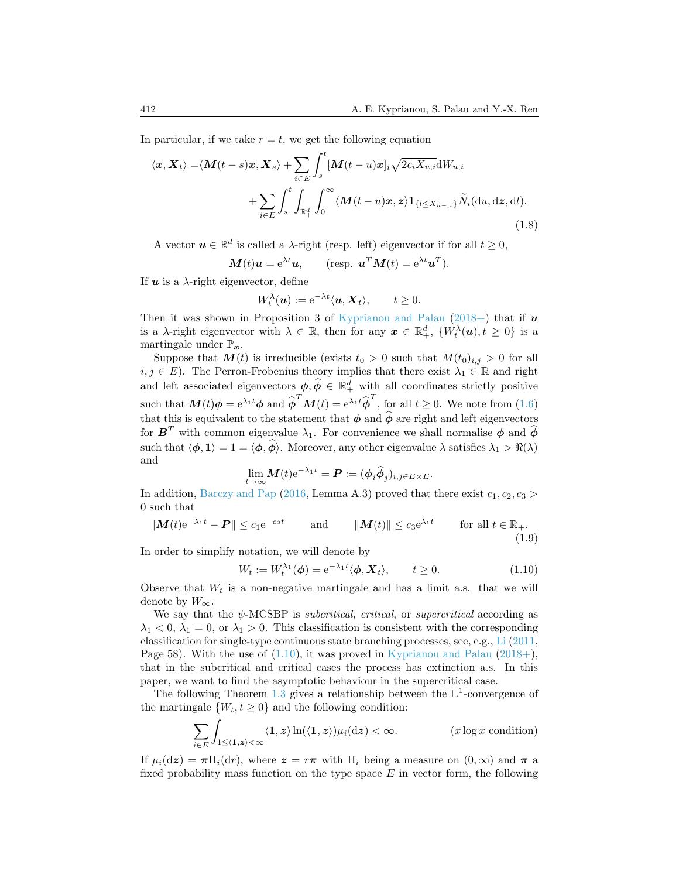In particular, if we take  $r = t$ , we get the following equation

<span id="page-3-2"></span>
$$
\langle \boldsymbol{x}, \boldsymbol{X}_t \rangle = \langle \boldsymbol{M}(t-s)\boldsymbol{x}, \boldsymbol{X}_s \rangle + \sum_{i \in E} \int_s^t [\boldsymbol{M}(t-u)\boldsymbol{x}]_i \sqrt{2c_i X_{u,i}} \mathrm{d}W_{u,i} + \sum_{i \in E} \int_s^t \int_{\mathbb{R}_+^d} \int_0^\infty \langle \boldsymbol{M}(t-u)\boldsymbol{x}, \boldsymbol{z} \rangle \mathbf{1}_{\{l \le X_{u-,i}\}} \widetilde{N}_i(\mathrm{d}u, \mathrm{d}\boldsymbol{z}, \mathrm{d}l).
$$
\n(1.8)

A vector  $u \in \mathbb{R}^d$  is called a  $\lambda$ -right (resp. left) eigenvector if for all  $t \geq 0$ ,

$$
\mathbf{M}(t)\mathbf{u} = e^{\lambda t}\mathbf{u}, \qquad \text{(resp. } \mathbf{u}^T \mathbf{M}(t) = e^{\lambda t}\mathbf{u}^T\text{)}.
$$

If  $u$  is a  $\lambda$ -right eigenvector, define

$$
W_t^{\lambda}(\boldsymbol{u}) := e^{-\lambda t} \langle \boldsymbol{u}, \boldsymbol{X}_t \rangle, \qquad t \geq 0.
$$

Then it was shown in Proposition 3 of [Kyprianou and Palau](#page-19-1) [\(2018+\)](#page-19-1) that if  $\boldsymbol{u}$ is a  $\lambda$ -right eigenvector with  $\lambda \in \mathbb{R}$ , then for any  $x \in \mathbb{R}^d_+$ ,  $\{W_t^{\lambda}(\boldsymbol{u}), t \geq 0\}$  is a martingale under  $\mathbb{P}_x$ .

Suppose that  $M(t)$  is irreducible (exists  $t_0 > 0$  such that  $M(t_0)_{i,j} > 0$  for all  $i, j \in E$ ). The Perron-Frobenius theory implies that there exist  $\lambda_1 \in \mathbb{R}$  and right and left associated eigenvectors  $\phi, \widehat{\phi} \in \mathbb{R}^d_+$  with all coordinates strictly positive such that  $\mathbf{M}(t)\phi = e^{\lambda_1 t} \phi$  and  $\widehat{\phi}^T \mathbf{M}(t) = e^{\lambda_1 t} \widehat{\phi}^T$ , for all  $t \geq 0$ . We note from [\(1.6\)](#page-2-0) that this is equivalent to the statement that  $\phi$  and  $\hat{\phi}$  are right and left eigenvectors for  $\boldsymbol{B}^T$  with common eigenvalue  $\lambda_1$ . For convenience we shall normalise  $\phi$  and  $\widehat{\phi}$ such that  $\langle \phi, 1 \rangle = 1 = \langle \phi, \widehat{\phi} \rangle$ . Moreover, any other eigenvalue  $\lambda$  satisfies  $\lambda_1 > \Re(\lambda)$ and

$$
\lim_{t\to\infty} \mathbf{M}(t) e^{-\lambda_1 t} = \mathbf{P} := (\phi_i \widehat{\phi}_j)_{i,j \in E \times E}.
$$

In addition, [Barczy and Pap](#page-18-1) [\(2016](#page-18-1), Lemma A.3) proved that there exist  $c_1, c_2, c_3$ 0 such that

<span id="page-3-3"></span>
$$
\|\mathbf{M}(t)\mathrm{e}^{-\lambda_1 t} - \mathbf{P}\| \le c_1 \mathrm{e}^{-c_2 t} \quad \text{and} \quad \|\mathbf{M}(t)\| \le c_3 \mathrm{e}^{\lambda_1 t} \quad \text{for all } t \in \mathbb{R}_+.
$$
\n(1.9)

In order to simplify notation, we will denote by

<span id="page-3-0"></span>
$$
W_t := W_t^{\lambda_1}(\phi) = e^{-\lambda_1 t} \langle \phi, \mathbf{X}_t \rangle, \qquad t \ge 0.
$$
 (1.10)

Observe that  $W_t$  is a non-negative martingale and has a limit a.s. that we will denote by  $W_{\infty}$ .

We say that the  $\psi$ -MCSBP is *subcritical, critical*, or *supercritical* according as  $\lambda_1 < 0, \lambda_1 = 0$ , or  $\lambda_1 > 0$ . This classification is consistent with the corresponding classification for single-type continuous state branching processes, see, e.g., [Li](#page-19-0) [\(2011,](#page-19-0) Page 58). With the use of  $(1.10)$ , it was proved in [Kyprianou and Palau](#page-19-1)  $(2018+)$ , that in the subcritical and critical cases the process has extinction a.s. In this paper, we want to find the asymptotic behaviour in the supercritical case.

The following Theorem [1.3](#page-4-0) gives a relationship between the  $\mathbb{L}^1$ -convergence of the martingale  $\{W_t, t \geq 0\}$  and the following condition:

<span id="page-3-1"></span>
$$
\sum_{i \in E} \int_{1 \le \langle \mathbf{1}, \mathbf{z} \rangle < \infty} \langle \mathbf{1}, \mathbf{z} \rangle \ln(\langle \mathbf{1}, \mathbf{z} \rangle) \mu_i(\mathrm{d}\mathbf{z}) < \infty. \tag{x \log x \text{ condition}}
$$

If  $\mu_i(d\mathbf{z}) = \pi \Pi_i(dr)$ , where  $\mathbf{z} = r\pi$  with  $\Pi_i$  being a measure on  $(0,\infty)$  and  $\pi$  a fixed probability mass function on the type space  $E$  in vector form, the following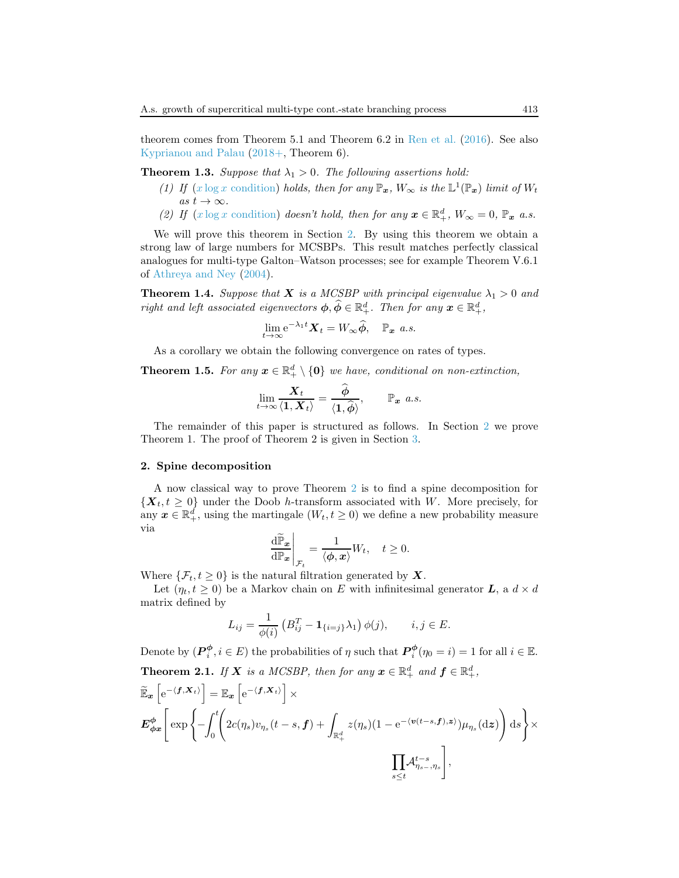theorem comes from Theorem 5.1 and Theorem 6.2 in [Ren et al.](#page-19-4) [\(2016\)](#page-19-4). See also [Kyprianou and Palau](#page-19-1) [\(2018+](#page-19-1), Theorem 6).

<span id="page-4-0"></span>**Theorem 1.3.** Suppose that  $\lambda_1 > 0$ . The following assertions hold:

- (1) If  $(x \log x$  [condition\)](#page-3-1) holds, then for any  $\mathbb{P}_x$ ,  $W_\infty$  is the  $\mathbb{L}^1(\mathbb{P}_x)$  limit of  $W_t$ as  $t \to \infty$ .
- (2) If  $(x \log x \text{ condition})$  doesn't hold, then for any  $x \in \mathbb{R}^d_+$ ,  $W_\infty = 0$ ,  $\mathbb{P}_x$  a.s.

We will prove this theorem in Section [2.](#page-4-1) By using this theorem we obtain a strong law of large numbers for MCSBPs. This result matches perfectly classical analogues for multi-type Galton–Watson processes; see for example Theorem V.6.1 of [Athreya and Ney](#page-18-2) [\(2004](#page-18-2)).

<span id="page-4-3"></span>**Theorem 1.4.** Suppose that **X** is a MCSBP with principal eigenvalue  $\lambda_1 > 0$  and right and left associated eigenvectors  $\phi, \widehat{\phi} \in \mathbb{R}^d_+$ . Then for any  $\mathbf{x} \in \mathbb{R}^d_+$ ,

$$
\lim_{t\to\infty} e^{-\lambda_1 t} \mathbf{X}_t = W_\infty \widehat{\phi}, \quad \mathbb{P}_x \text{ a.s.}
$$

As a corollary we obtain the following convergence on rates of types.

**Theorem 1.5.** For any  $x \in \mathbb{R}^d_+ \setminus \{0\}$  we have, conditional on non-extinction,

$$
\lim_{t\to\infty}\frac{\boldsymbol{X}_t}{\langle \boldsymbol{1},\boldsymbol{X}_t\rangle}=\frac{\boldsymbol{\phi}}{\langle \boldsymbol{1},\boldsymbol{\hat{\phi}}\rangle},\qquad\mathbb{P}_{\boldsymbol{x}}\ \ a.s.
$$

The remainder of this paper is structured as follows. In Section [2](#page-4-1) we prove Theorem 1. The proof of Theorem 2 is given in Section [3.](#page-11-0)

#### <span id="page-4-1"></span>2. Spine decomposition

A now classical way to prove Theorem [2](#page-4-1) is to find a spine decomposition for  $\{X_t, t \geq 0\}$  under the Doob h-transform associated with W. More precisely, for any  $x \in \mathbb{R}_+^d$ , using the martingale  $(W_t, t \geq 0)$  we define a new probability measure via

$$
\left. \frac{\mathrm{d} \widetilde{\mathbb{P}}_{\bm{x}}}{\mathrm{d} \mathbb{P}_{\bm{x}}} \right|_{\mathcal{F}_t} = \frac{1}{\langle \bm{\phi}, \bm{x} \rangle} W_t, \quad t \ge 0.
$$

Where  $\{\mathcal{F}_t, t \geq 0\}$  is the natural filtration generated by **X**.

Let  $(\eta_t, t \geq 0)$  be a Markov chain on E with infinitesimal generator **L**, a  $d \times d$ matrix defined by

$$
L_{ij} = \frac{1}{\phi(i)} \left( B_{ij}^T - \mathbf{1}_{\{i=j\}} \lambda_1 \right) \phi(j), \qquad i, j \in E.
$$

Denote by  $(P_i^{\phi}, i \in E)$  the probabilities of  $\eta$  such that  $P_i^{\phi}(\eta_0 = i) = 1$  for all  $i \in \mathbb{E}$ . **Theorem 2.1.** If **X** is a MCSBP, then for any  $\mathbf{x} \in \mathbb{R}^d_+$  and  $\mathbf{f} \in \mathbb{R}^d_+$ ,

<span id="page-4-2"></span>
$$
\widetilde{\mathbb{E}}_{\boldsymbol{x}}\left[e^{-\langle \boldsymbol{f}, \boldsymbol{X}_t \rangle}\right] = \mathbb{E}_{\boldsymbol{x}}\left[e^{-\langle \boldsymbol{f}, \boldsymbol{X}_t \rangle}\right] \times \boldsymbol{E}_{\boldsymbol{\phi}\boldsymbol{x}}^{\boldsymbol{\phi}}\left[\exp\left\{-\int_0^t \left(2c(\eta_s)v_{\eta_s}(t-s, \boldsymbol{f}) + \int_{\mathbb{R}_+^d} z(\eta_s)(1-e^{-\langle \boldsymbol{v}(t-s, \boldsymbol{f}), \boldsymbol{z} \rangle}\right) \mu_{\eta_s}(\mathrm{d}\boldsymbol{z})\right) \mathrm{d}s\right\} \times \prod_{s \leq t} \mathcal{A}_{\eta_{s-s}, \eta_s}^{t-s},
$$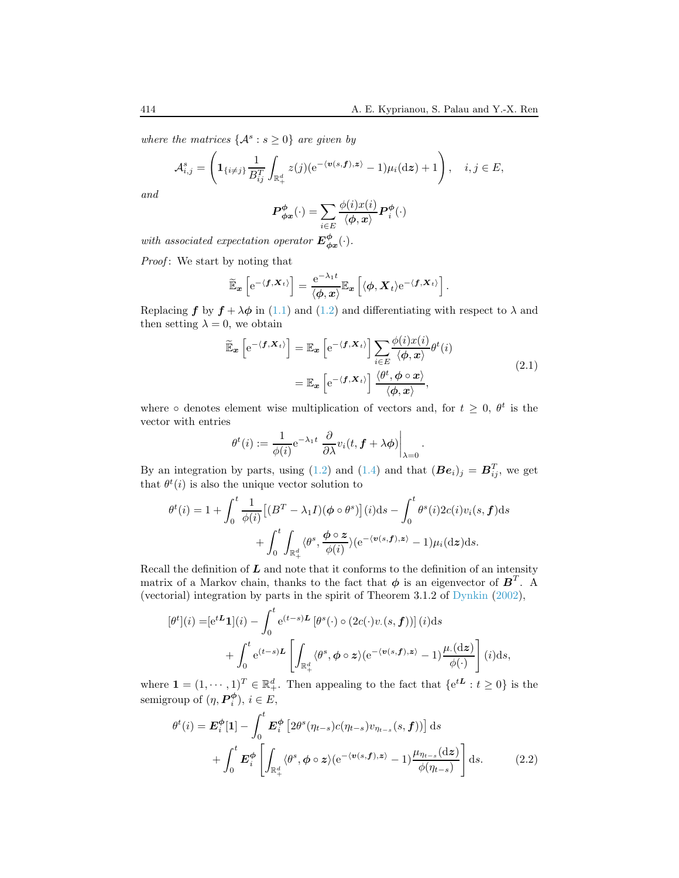where the matrices  $\{A^s : s \geq 0\}$  are given by

$$
\mathcal{A}_{i,j}^s = \left( \mathbf{1}_{\{i \neq j\}} \frac{1}{B_{ij}^T} \int_{\mathbb{R}_+^d} z(j) (\mathrm{e}^{-\langle \mathbf{v}(s,\mathbf{f}),\mathbf{z}\rangle} - 1) \mu_i(\mathrm{d}\mathbf{z}) + 1 \right), \quad i, j \in E,
$$

and

$$
\boldsymbol{P}_{\boldsymbol{\phi x}}^{\boldsymbol{\phi}}(\cdot)=\sum_{i\in E}\frac{\phi(i)x(i)}{\langle\boldsymbol{\phi},\boldsymbol{x}\rangle}\boldsymbol{P}_{i}^{\boldsymbol{\phi}}(\cdot)
$$

with associated expectation operator  $E_{\phi x}^{\phi}(\cdot)$ .

Proof: We start by noting that

$$
\widetilde{\mathbb{E}}_{\boldsymbol{x}}\left[e^{-\langle \boldsymbol{f}, \boldsymbol{X}_t\rangle}\right] = \frac{e^{-\lambda_1 t}}{\langle \boldsymbol{\phi}, \boldsymbol{x}\rangle} \mathbb{E}_{\boldsymbol{x}}\left[\langle \boldsymbol{\phi}, \boldsymbol{X}_t\rangle e^{-\langle \boldsymbol{f}, \boldsymbol{X}_t\rangle}\right].
$$

Replacing f by  $f + \lambda \phi$  in [\(1.1\)](#page-1-1) and [\(1.2\)](#page-1-2) and differentiating with respect to  $\lambda$  and then setting  $\lambda = 0$ , we obtain

$$
\widetilde{\mathbb{E}}_{\boldsymbol{x}}\left[e^{-\langle \boldsymbol{f}, \boldsymbol{X}_t \rangle}\right] = \mathbb{E}_{\boldsymbol{x}}\left[e^{-\langle \boldsymbol{f}, \boldsymbol{X}_t \rangle}\right] \sum_{i \in E} \frac{\phi(i)x(i)}{\langle \boldsymbol{\phi}, \boldsymbol{x} \rangle} \theta^t(i)
$$
\n
$$
= \mathbb{E}_{\boldsymbol{x}}\left[e^{-\langle \boldsymbol{f}, \boldsymbol{X}_t \rangle}\right] \frac{\langle \theta^t, \boldsymbol{\phi} \circ \boldsymbol{x} \rangle}{\langle \boldsymbol{\phi}, \boldsymbol{x} \rangle},
$$
\n(2.1)

<span id="page-5-0"></span>.

where  $\circ$  denotes element wise multiplication of vectors and, for  $t \geq 0$ ,  $\theta^t$  is the vector with entries

$$
\theta^t(i) := \frac{1}{\phi(i)} e^{-\lambda_1 t} \left. \frac{\partial}{\partial \lambda} v_i(t, \mathbf{f} + \lambda \phi) \right|_{\lambda=0}
$$

By an integration by parts, using [\(1.2\)](#page-1-2) and [\(1.4\)](#page-1-0) and that  $(Be_i)_j = B_{ij}^T$ , we get that  $\theta^t(i)$  is also the unique vector solution to

$$
\theta^{t}(i) = 1 + \int_{0}^{t} \frac{1}{\phi(i)} \left[ (B^{T} - \lambda_{1}I)(\phi \circ \theta^{s}) \right](i) \mathrm{d}s - \int_{0}^{t} \theta^{s}(i) 2c(i)v_{i}(s, \mathbf{f}) \mathrm{d}s + \int_{0}^{t} \int_{\mathbb{R}_{+}^{d}} \langle \theta^{s}, \frac{\phi \circ z}{\phi(i)} \rangle (e^{-\langle \mathbf{v}(s, \mathbf{f}), z \rangle} - 1) \mu_{i}(\mathrm{d}z) \mathrm{d}s.
$$

Recall the definition of  $L$  and note that it conforms to the definition of an intensity matrix of a Markov chain, thanks to the fact that  $\phi$  is an eigenvector of  $\boldsymbol{B}^T$ . A (vectorial) integration by parts in the spirit of Theorem 3.1.2 of [Dynkin](#page-19-3) [\(2002\)](#page-19-3),

$$
[\theta^t](i) = [e^{tL} \mathbf{1}](i) - \int_0^t e^{(t-s)L} [\theta^s(\cdot) \circ (2c(\cdot)v.(s, \mathbf{f}))] (i) ds + \int_0^t e^{(t-s)L} \left[ \int_{\mathbb{R}_+^d} \langle \theta^s, \phi \circ z \rangle (e^{-\langle v(s, \mathbf{f}), z \rangle} - 1) \frac{\mu(\mathrm{d}z)}{\phi(\cdot)} \right] (i) ds,
$$

where  $\mathbf{1} = (1, \dots, 1)^T \in \mathbb{R}_+^d$ . Then appealing to the fact that  $\{e^{tL} : t \geq 0\}$  is the semigroup of  $(\eta, \boldsymbol{P}_i^{\boldsymbol{\phi}}), i \in E$ ,

$$
\theta^{t}(i) = \mathbf{E}_{i}^{\phi}[\mathbf{1}] - \int_{0}^{t} \mathbf{E}_{i}^{\phi} \left[ 2\theta^{s}(\eta_{t-s})c(\eta_{t-s})v_{\eta_{t-s}}(s,\mathbf{f})) \right] ds + \int_{0}^{t} \mathbf{E}_{i}^{\phi} \left[ \int_{\mathbb{R}_{+}^{d}} \langle \theta^{s}, \phi \circ z \rangle (e^{-\langle \mathbf{v}(s,\mathbf{f}),z \rangle} - 1) \frac{\mu_{\eta_{t-s}}(\mathrm{d}z)}{\phi(\eta_{t-s})} \right] ds.
$$
 (2.2)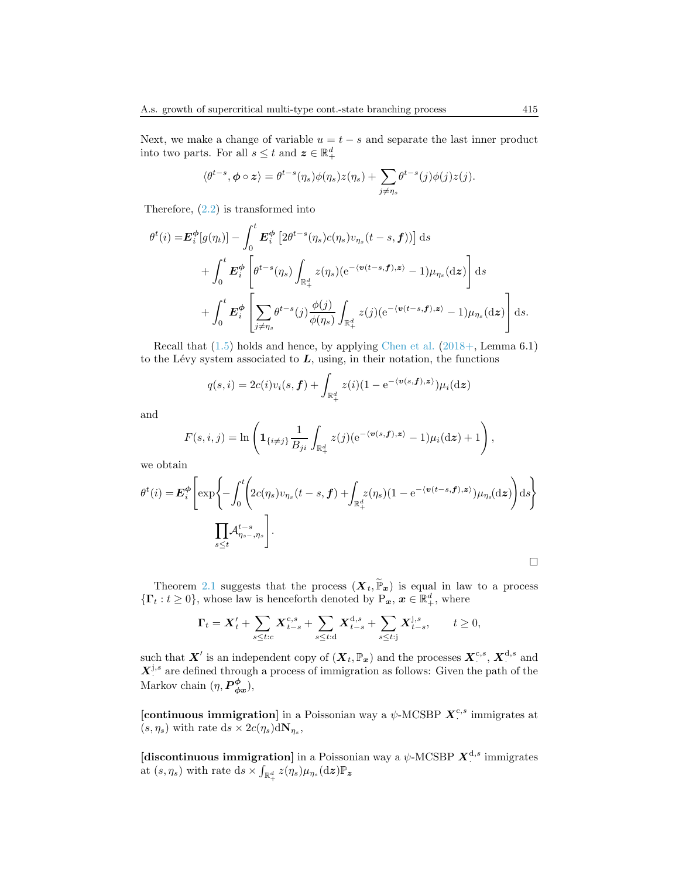Next, we make a change of variable  $u = t - s$  and separate the last inner product into two parts. For all  $s \leq t$  and  $\boldsymbol{z} \in \mathbb{R}_+^d$ 

$$
\langle \theta^{t-s}, \phi \circ z \rangle = \theta^{t-s}(\eta_s) \phi(\eta_s) z(\eta_s) + \sum_{j \neq \eta_s} \theta^{t-s}(j) \phi(j) z(j).
$$

Therefore,  $(2.2)$  is transformed into

$$
\theta^{t}(i) = \mathbf{E}_{i}^{\phi}[g(\eta_{t})] - \int_{0}^{t} \mathbf{E}_{i}^{\phi} \left[ 2\theta^{t-s}(\eta_{s})c(\eta_{s})v_{\eta_{s}}(t-s,\mathbf{f})) \right] ds \n+ \int_{0}^{t} \mathbf{E}_{i}^{\phi} \left[ \theta^{t-s}(\eta_{s}) \int_{\mathbb{R}_{+}^{d}} z(\eta_{s}) (e^{-(v(t-s,\mathbf{f}),\mathbf{z})} - 1) \mu_{\eta_{s}}(\mathbf{dz}) \right] ds \n+ \int_{0}^{t} \mathbf{E}_{i}^{\phi} \left[ \sum_{j \neq \eta_{s}} \theta^{t-s}(j) \frac{\phi(j)}{\phi(\eta_{s})} \int_{\mathbb{R}_{+}^{d}} z(j) (e^{-(v(t-s,\mathbf{f}),\mathbf{z})} - 1) \mu_{\eta_{s}}(\mathbf{dz}) \right] ds.
$$

Recall that  $(1.5)$  holds and hence, by applying [Chen et al.](#page-18-3)  $(2018+)$  $(2018+)$ , Lemma 6.1) to the Lévy system associated to  $L$ , using, in their notation, the functions

$$
q(s,i) = 2c(i)v_i(s,\boldsymbol{f}) + \int_{\mathbb{R}_+^d} z(i)(1 - e^{-\langle \boldsymbol{v}(s,\boldsymbol{f}),\boldsymbol{z}\rangle})\mu_i(\mathrm{d}\boldsymbol{z})
$$

and

$$
F(s,i,j) = \ln\left(\mathbf{1}_{\{i\neq j\}}\frac{1}{B_{ji}}\int_{\mathbb{R}_+^d}z(j)(e^{-\langle\mathbf{v}(s,\mathbf{f}),\mathbf{z}\rangle}-1)\mu_i(\mathrm{d}\mathbf{z})+1\right),
$$

we obtain

$$
\theta^{t}(i) = \mathbf{E}_{i}^{\phi} \left[ \exp \left\{ -\int_{0}^{t} \left( 2c(\eta_{s})v_{\eta_{s}}(t-s,\mathbf{f}) + \int_{\mathbb{R}_{+}^{d}} z(\eta_{s})(1-e^{-\langle \mathbf{v}(t-s,\mathbf{f}),\mathbf{z}\rangle})\mu_{\eta_{s}}(\mathrm{d}\mathbf{z}) \right) \mathrm{d}s \right\}
$$

$$
\prod_{s\leq t} \mathcal{A}_{\eta_{s-},\eta_{s}}^{t-s} \right].
$$

Theorem [2.1](#page-4-2) suggests that the process  $(\mathbf{X}_t, \widetilde{\mathbb{P}}_{x})$  is equal in law to a process  $\{\Gamma_t : t \geq 0\}$ , whose law is henceforth denoted by  $P_x, x \in \mathbb{R}^d_+$ , where

$$
\Gamma_t = \mathbf{X}'_t + \sum_{s \le t:c} \mathbf{X}^{c,s}_{t-s} + \sum_{s \le t:d} \mathbf{X}^{d,s}_{t-s} + \sum_{s \le t:j} \mathbf{X}^{j,s}_{t-s}, \qquad t \ge 0,
$$

such that  $X'$  is an independent copy of  $(X_t, \mathbb{P}_x)$  and the processes  $X_{\cdot}^{c,s}$ ,  $X_{\cdot}^{d,s}$  and  $X_j^{j,s}$  are defined through a process of immigration as follows: Given the path of the Markov chain  $(\eta, \boldsymbol{P}_{\phi x}^{\phi}),$ 

[continuous immigration] in a Poissonian way a  $\psi$ -MCSBP  $\boldsymbol{X}^{c,s}$  immigrates at  $(s, \eta_s)$  with rate  $ds \times 2c(\eta_s) dN_{\eta_s}$ ,

[discontinuous immigration] in a Poissonian way a  $\psi$ -MCSBP  $\boldsymbol{X}^{\text{d},s}$  immigrates at  $(s, \eta_s)$  with rate ds  $\times \int_{\mathbb{R}_+^d} z(\eta_s) \mu_{\eta_s}(\mathrm{d}z) \mathbb{P}_z$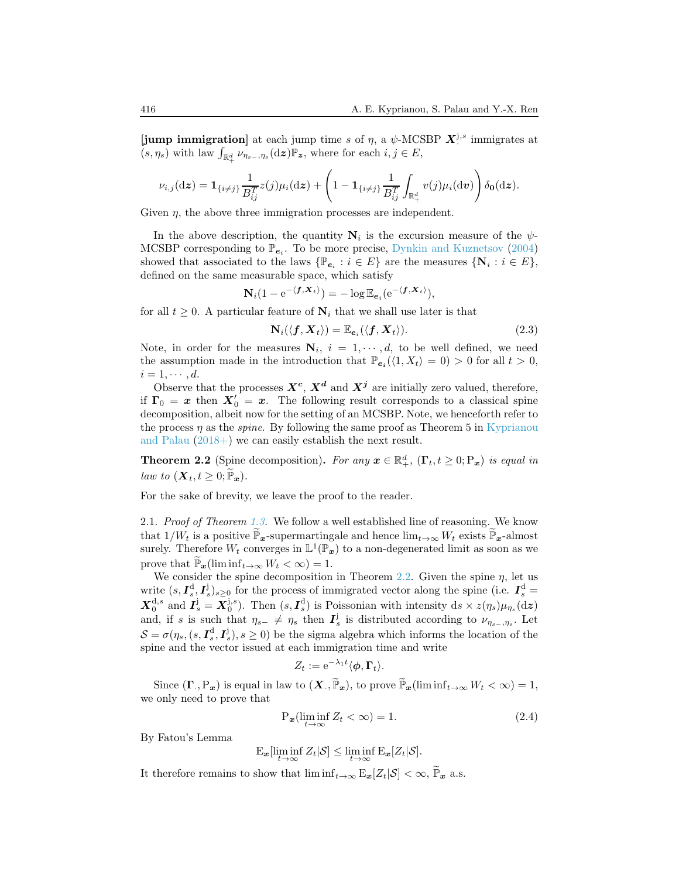[jump immigration] at each jump time s of  $\eta$ , a  $\psi$ -MCSBP  $\mathbf{X}^{j,s}$  immigrates at  $(s, \eta_s)$  with law  $\int_{\mathbb{R}_+^d} \nu_{\eta_{s-},\eta_s}(\mathrm{d}z) \mathbb{P}_z$ , where for each  $i, j \in E$ ,

$$
\nu_{i,j}(\mathrm{d}\boldsymbol{z}) = \mathbf{1}_{\{i \neq j\}} \frac{1}{B_{ij}^T} z(j) \mu_i(\mathrm{d}\boldsymbol{z}) + \left(1 - \mathbf{1}_{\{i \neq j\}} \frac{1}{B_{ij}^T} \int_{\mathbb{R}_+^d} v(j) \mu_i(\mathrm{d}\boldsymbol{v})\right) \delta_{\boldsymbol{0}}(\mathrm{d}\boldsymbol{z}).
$$

Given  $\eta$ , the above three immigration processes are independent.

In the above description, the quantity  $N_i$  is the excursion measure of the  $\psi$ -MCSBP corresponding to  $\mathbb{P}_{e_i}$ . To be more precise, [Dynkin and Kuznetsov](#page-19-5) [\(2004\)](#page-19-5) showed that associated to the laws  $\{\mathbb{P}_{e_i} : i \in E\}$  are the measures  $\{N_i : i \in E\}$ , defined on the same measurable space, which satisfy

$$
\mathbf{N}_i(1 - e^{-\langle \mathbf{f}, \mathbf{X}_t \rangle}) = -\log \mathbb{E}_{\mathbf{e}_i}(e^{-\langle \mathbf{f}, \mathbf{X}_t \rangle}),
$$

for all  $t \geq 0$ . A particular feature of  $N_i$  that we shall use later is that

<span id="page-7-1"></span>
$$
\mathbf{N}_i(\langle \mathbf{f}, \mathbf{X}_t \rangle) = \mathbb{E}_{\mathbf{e}_i}(\langle \mathbf{f}, \mathbf{X}_t \rangle). \tag{2.3}
$$

Note, in order for the measures  $N_i$ ,  $i = 1, \dots, d$ , to be well defined, we need the assumption made in the introduction that  $\mathbb{P}_{e_i}(\langle 1, X_t \rangle = 0) > 0$  for all  $t > 0$ ,  $i = 1, \cdots, d$ .

Observe that the processes  $X^c$ ,  $X^d$  and  $X^j$  are initially zero valued, therefore, if  $\Gamma_0 = x$  then  $X'_0 = x$ . The following result corresponds to a classical spine decomposition, albeit now for the setting of an MCSBP. Note, we henceforth refer to the process  $\eta$  as the *spine*[. By following the same proof as Theorem 5 in](#page-19-1) Kyprianou and Palau [\(2018+\)](#page-19-1) we can easily establish the next result.

<span id="page-7-0"></span>**Theorem 2.2** (Spine decomposition). For any  $x \in \mathbb{R}^d_+$ ,  $(\Gamma_t, t \geq 0; P_x)$  is equal in law to  $(\mathbf{X}_t, t \geq 0; \widetilde{\mathbb{P}}_{\bm{x}})$ .

For the sake of brevity, we leave the proof to the reader.

2.1. Proof of Theorem [1.3.](#page-4-0) We follow a well established line of reasoning. We know that  $1/W_t$  is a positive  $\mathbb{P}_x$ -supermartingale and hence  $\lim_{t\to\infty}W_t$  exists  $\mathbb{P}_x$ -almost surely. Therefore  $W_t$  converges in  $\mathbb{L}^1(\mathbb{P}_x)$  to a non-degenerated limit as soon as we prove that  $\mathbb{P}_{\mathbf{x}}(\liminf_{t\to\infty}W_t<\infty)=1$ .

We consider the spine decomposition in Theorem [2.2.](#page-7-0) Given the spine  $\eta$ , let us write  $(s, I_s^d, I_s^j)_{s \geq 0}$  for the process of immigrated vector along the spine (i.e.  $I_s^d$  =  $\mathbf{X}_0^{\mathrm{d},s}$  and  $\mathbf{I}_s^{\mathrm{j}} = \mathbf{X}_0^{\mathrm{j},s}$ ). Then  $(s,\mathbf{I}_s^{\mathrm{d}})$  is Poissonian with intensity  $\mathrm{d}s \times z(\eta_s)\mu_{\eta_s}(\mathrm{d}z)$ and, if s is such that  $\eta_{s-} \neq \eta_s$  then  $I_s^j$  is distributed according to  $\nu_{\eta_{s-},\eta_s}$ . Let  $S = \sigma(\eta_s, (s, I_s^d, I_s^j), s \ge 0)$  be the sigma algebra which informs the location of the spine and the vector issued at each immigration time and write

$$
Z_t := e^{-\lambda_1 t} \langle \phi, \Gamma_t \rangle.
$$

Since  $(\mathbf{\Gamma}_{\cdot}, \mathbf{P}_{\boldsymbol{x}})$  is equal in law to  $(\boldsymbol{X}_{\cdot}, \widetilde{\mathbb{P}}_{\boldsymbol{x}})$ , to prove  $\widetilde{\mathbb{P}}_{\boldsymbol{x}}(\liminf_{t\to\infty}W_t < \infty) = 1$ , we only need to prove that

$$
P_x(\liminf_{t \to \infty} Z_t < \infty) = 1. \tag{2.4}
$$

By Fatou's Lemma

$$
\mathrm{E}_{\boldsymbol{x}}[\liminf_{t\to\infty}Z_t|\mathcal{S}]\leq \liminf_{t\to\infty}\mathrm{E}_{\boldsymbol{x}}[Z_t|\mathcal{S}].
$$

It therefore remains to show that  $\liminf_{t\to\infty} E_x[Z_t|\mathcal{S}] < \infty$ ,  $\widetilde{\mathbb{P}}_x$  a.s.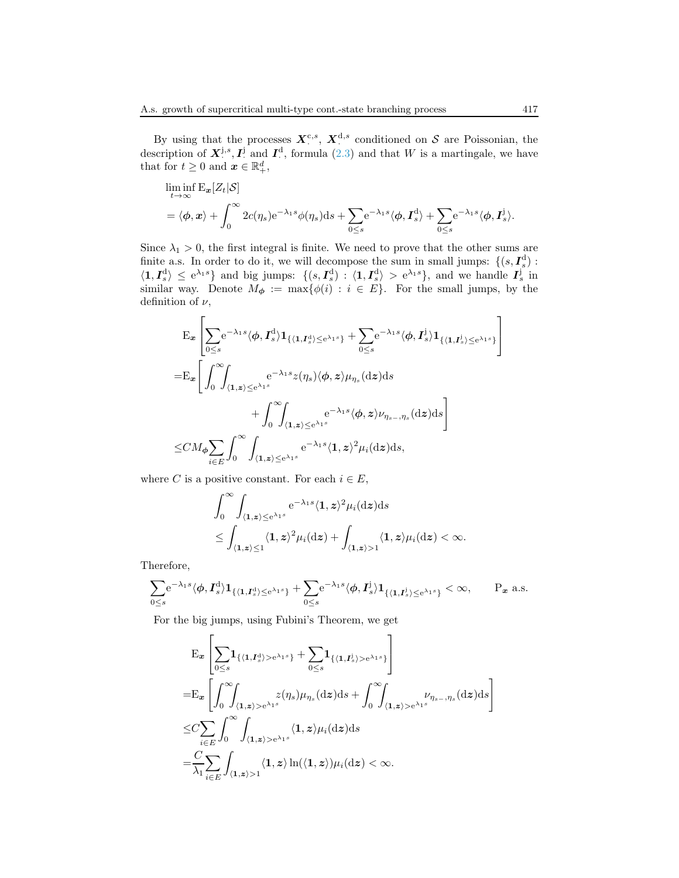By using that the processes  $X_{\cdot}^{\text{c},s}$ ,  $X_{\cdot}^{\text{d},s}$  conditioned on S are Poissonian, the description of  $\mathbf{X}^{\mathbf{j},s}, \mathbf{I}^{\mathbf{j}}$  and  $\mathbf{I}^{\mathbf{d}}$ , formula [\(2.3\)](#page-7-1) and that W is a martingale, we have that for  $t \geq 0$  and  $\boldsymbol{x} \in \mathbb{R}^d_+,$ 

$$
\liminf_{t \to \infty} \mathcal{E}_{\mathbf{x}}[Z_t|\mathcal{S}]
$$
  
=  $\langle \phi, \mathbf{x} \rangle + \int_0^\infty 2c(\eta_s) e^{-\lambda_1 s} \phi(\eta_s) ds + \sum_{0 \le s} e^{-\lambda_1 s} \langle \phi, \mathbf{I}_s^d \rangle + \sum_{0 \le s} e^{-\lambda_1 s} \langle \phi, \mathbf{I}_s^j \rangle.$ 

Since  $\lambda_1 > 0$ , the first integral is finite. We need to prove that the other sums are finite a.s. In order to do it, we will decompose the sum in small jumps:  $\{(s, I_s^d)$ :  $\langle 1, I_s^d \rangle \leq e^{\lambda_1 s}$  and big jumps:  $\{(s, I_s^d) : \langle 1, I_s^d \rangle > e^{\lambda_1 s} \}$ , and we handle  $I_s^j$  in similar way. Denote  $M_{\phi} := \max\{\phi(i) : i \in E\}$ . For the small jumps, by the definition of  $\nu$ ,

$$
\begin{split} &E_{\mathbf{x}}\left[\sum_{0\leq s}e^{-\lambda_{1}s}\langle\phi,\mathbf{I}_{s}^{\mathrm{d}}\rangle\mathbf{1}_{\{\langle\mathbf{1},\mathbf{I}_{s}^{\mathrm{d}}\rangle\leq e^{\lambda_{1}s}\}}+\sum_{0\leq s}e^{-\lambda_{1}s}\langle\phi,\mathbf{I}_{s}^{\mathrm{j}}\rangle\mathbf{1}_{\{\langle\mathbf{1},\mathbf{I}_{s}^{\mathrm{j}}\rangle\leq e^{\lambda_{1}s}\}}\\ =&E_{\mathbf{x}}\Bigg[\int_{0}^{\infty}\!\!\!\int_{\langle\mathbf{1},\mathbf{z}\rangle\leq e^{\lambda_{1}s}}e^{-\lambda_{1}s}z(\eta_{s})\langle\phi,z\rangle\mu_{\eta_{s}}(\mathrm{d}\mathbf{z})\mathrm{d}s\\ &+\int_{0}^{\infty}\!\!\!\int_{\langle\mathbf{1},\mathbf{z}\rangle\leq e^{\lambda_{1}s}}e^{-\lambda_{1}s}\langle\phi,z\rangle\nu_{\eta_{s-},\eta_{s}}(\mathrm{d}\mathbf{z})\mathrm{d}s\Bigg]\\ \leq &CM_{\phi}\sum_{i\in E}\int_{0}^{\infty}\int_{\langle\mathbf{1},\mathbf{z}\rangle\leq e^{\lambda_{1}s}}e^{-\lambda_{1}s}\langle\mathbf{1},\mathbf{z}\rangle^{2}\mu_{i}(\mathrm{d}\mathbf{z})\mathrm{d}s, \end{split}
$$

where C is a positive constant. For each  $i \in E$ ,

$$
\int_0^\infty \int_{\langle \mathbf{1}, \mathbf{z} \rangle \le e^{\lambda_1 s}} e^{-\lambda_1 s} \langle \mathbf{1}, \mathbf{z} \rangle^2 \mu_i(\mathrm{d}\mathbf{z}) \mathrm{d}s
$$
\n
$$
\le \int_{\langle \mathbf{1}, \mathbf{z} \rangle \le 1} \langle \mathbf{1}, \mathbf{z} \rangle^2 \mu_i(\mathrm{d}\mathbf{z}) + \int_{\langle \mathbf{1}, \mathbf{z} \rangle > 1} \langle \mathbf{1}, \mathbf{z} \rangle \mu_i(\mathrm{d}\mathbf{z}) < \infty.
$$

Therefore,

$$
\sum_{0\leq s}\!\!{\rm e}^{-\lambda_1 s}\langle \phi, I_s^{\rm d}\rangle{\bf 1}_{\{\langle {\bf 1},I_s^{\rm d}\rangle\leq {\rm e}^{\lambda_1 s}\}}+\sum_{0\leq s}\!\!{\rm e}^{-\lambda_1 s}\langle \phi, I_s^{\rm j}\rangle{\bf 1}_{\{\langle {\bf 1},I_s^{\rm j}\rangle\leq {\rm e}^{\lambda_1 s}\}}<\infty,\qquad P_{\boldsymbol x}\ {\rm a.s.}
$$

For the big jumps, using Fubini's Theorem, we get

$$
\begin{split} & \mathbf{E}_{\mathbf{x}} \left[ \sum_{0 \leq s} & \mathbf{1}_{\{(1, I_s^{\mathrm{d}}) > e^{\lambda_1 s}\}} + \sum_{0 \leq s} & \mathbf{1}_{\{(1, I_s^{\mathrm{j}}) > e^{\lambda_1 s}\}} \right] \\ & = & \mathbf{E}_{\mathbf{x}} \left[ \int_0^\infty \!\!\! \int_{\langle \mathbf{1}, \mathbf{z} \rangle > e^{\lambda_1 s}} z(\eta_s) \mu_{\eta_s}(\mathrm{d}\mathbf{z}) \mathrm{d}s + \int_0^\infty \!\!\! \int_{\langle \mathbf{1}, \mathbf{z} \rangle > e^{\lambda_1 s}} \nu_{\eta_{s-}, \eta_s}(\mathrm{d}\mathbf{z}) \mathrm{d}s \right] \\ & \leq & C \sum_{i \in E} \int_0^\infty \int_{\langle \mathbf{1}, \mathbf{z} \rangle > e^{\lambda_1 s}} \langle \mathbf{1}, \mathbf{z} \rangle \mu_i(\mathrm{d}\mathbf{z}) \mathrm{d}s \\ & = & \frac{C}{\lambda_1} \sum_{i \in E} \int_{\langle \mathbf{1}, \mathbf{z} \rangle > 1} \langle \mathbf{1}, \mathbf{z} \rangle \ln(\langle \mathbf{1}, \mathbf{z} \rangle) \mu_i(\mathrm{d}\mathbf{z}) < \infty. \end{split}
$$

1  $\mathbf{I}$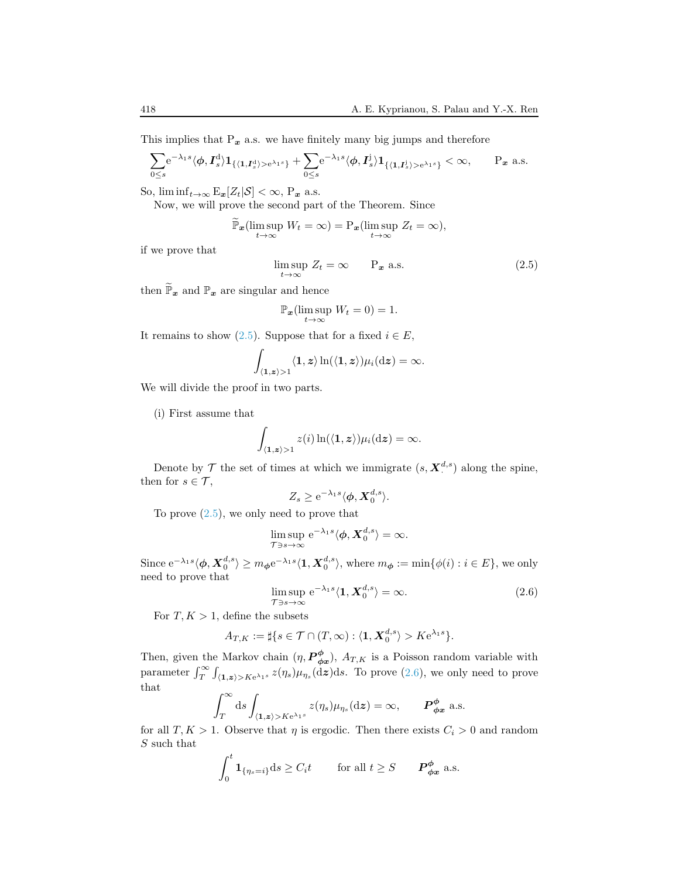This implies that  $P_x$  a.s. we have finitely many big jumps and therefore

$$
\sum_{0\leq s} \! \! e^{-\lambda_1 s}\langle \phi, I_s^{\rm d}\rangle \mathbf{1}_{\{ \langle \mathbf{1}, I_s^{\rm d}\rangle >{\rm e}^{\lambda_1 s}\}} + \sum_{0\leq s} \! \! e^{-\lambda_1 s}\langle \phi, I_s^{\rm j}\rangle \mathbf{1}_{\{ \langle \mathbf{1}, I_s^{\rm j}\rangle >{\rm e}^{\lambda_1 s}\}} <\infty, \qquad \hbox{$\rm{P}_{\boldsymbol{x}}$ a.s.}
$$

So,  $\liminf_{t\to\infty} E_x[Z_t|\mathcal{S}] < \infty$ ,  $P_x$  a.s.

Now, we will prove the second part of the Theorem. Since

$$
\widetilde{\mathbb{P}}_{\boldsymbol{x}}(\limsup_{t\to\infty} W_t = \infty) = \mathbb{P}_{\boldsymbol{x}}(\limsup_{t\to\infty} Z_t = \infty),
$$

if we prove that

<span id="page-9-0"></span>
$$
\limsup_{t \to \infty} Z_t = \infty \qquad \mathcal{P}_x \text{ a.s.} \tag{2.5}
$$

then  $\widetilde{\mathbb{P}}_{\bm{x}}$  and  $\mathbb{P}_{\bm{x}}$  are singular and hence

$$
\mathbb{P}_{\boldsymbol{x}}(\limsup_{t\to\infty}W_t=0)=1.
$$

It remains to show [\(2.5\)](#page-9-0). Suppose that for a fixed  $i \in E$ ,

$$
\int_{\langle \mathbf{1}, \bm{z} \rangle > 1} \langle \mathbf{1}, \bm{z} \rangle \ln(\langle \mathbf{1}, \bm{z} \rangle) \mu_i(\mathrm{d}\bm{z}) = \infty.
$$

We will divide the proof in two parts.

(i) First assume that

$$
\int_{\langle \mathbf{1}, \mathbf{z} \rangle > 1} z(i) \ln(\langle \mathbf{1}, \mathbf{z} \rangle) \mu_i(\mathrm{d}\mathbf{z}) = \infty.
$$

Denote by  $\mathcal T$  the set of times at which we immigrate  $(s, \mathbf X^{d,s})$  along the spine, then for  $s \in \mathcal{T}$ ,

$$
Z_s \geq e^{-\lambda_1 s} \langle \phi, \mathbf{X}_0^{d,s} \rangle.
$$

To prove  $(2.5)$ , we only need to prove that

$$
\limsup_{\mathcal{T}\ni s\to\infty} e^{-\lambda_1 s} \langle \boldsymbol{\phi}, \boldsymbol{X}_0^{d,s} \rangle = \infty.
$$

Since  $e^{-\lambda_1 s} \langle \phi, X_0^{d,s} \rangle \geq m_\phi e^{-\lambda_1 s} \langle 1, X_0^{d,s} \rangle$ , where  $m_\phi := \min{\{\phi(i) : i \in E\}}$ , we only need to prove that

<span id="page-9-1"></span>
$$
\limsup_{\mathcal{T}\ni s\to\infty} e^{-\lambda_1 s} \langle \mathbf{1}, \mathbf{X}_0^{d,s} \rangle = \infty. \tag{2.6}
$$

For  $T, K > 1$ , define the subsets

$$
A_{T,K} := \sharp \{ s \in \mathcal{T} \cap (T,\infty) : \langle \mathbf{1}, \mathbf{X}_0^{d,s} \rangle > K e^{\lambda_1 s} \}.
$$

Then, given the Markov chain  $(\eta, P^{\phi}_{\phi x})$ ,  $A_{T,K}$  is a Poisson random variable with parameter  $\int_T^{\infty} \int_{\langle 1,z \rangle > K e^{\lambda_1 s}} z(\eta_s) \mu_{\eta_s}(\mathrm{d}z) \mathrm{d}s$ . To prove [\(2.6\)](#page-9-1), we only need to prove that

$$
\int_T^{\infty} ds \int_{\langle 1, z \rangle > K e^{\lambda_1 s}} z(\eta_s) \mu_{\eta_s} (dz) = \infty, \qquad \mathbf{P}^{\phi}_{\phi x} \text{ a.s.}
$$

for all  $T, K > 1$ . Observe that  $\eta$  is ergodic. Then there exists  $C_i > 0$  and random S such that

$$
\int_0^t \mathbf{1}_{\{\eta_s=i\}} \mathrm{d}s \ge C_i t \qquad \text{for all } t \ge S \qquad \mathbf{P}^{\phi}_{\phi x} \text{ a.s.}
$$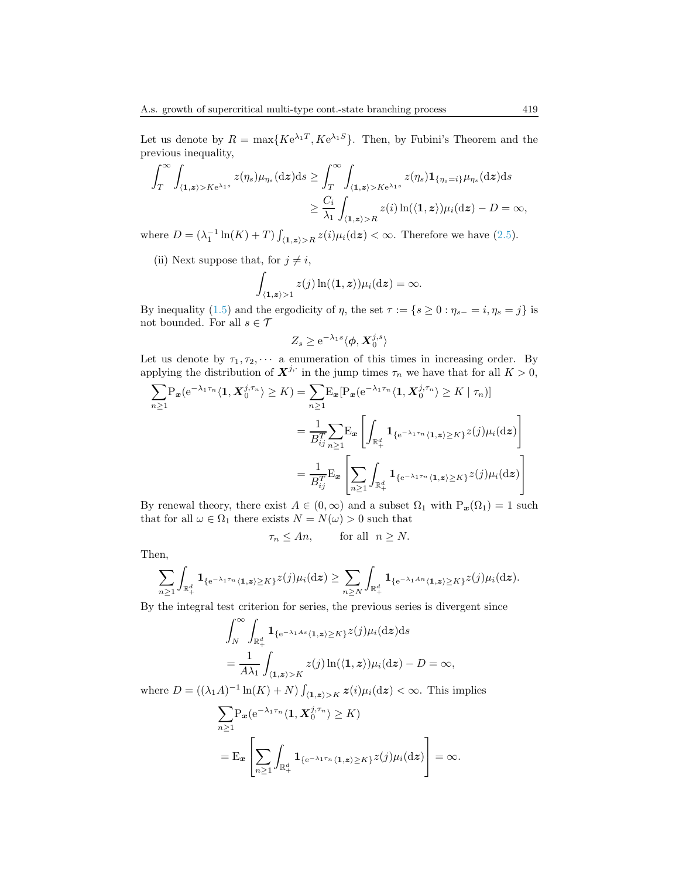Let us denote by  $R = \max\{K e^{\lambda_1 T}, K e^{\lambda_1 S}\}\$ . Then, by Fubini's Theorem and the previous inequality,

$$
\int_{T}^{\infty} \int_{\langle \mathbf{1}, \mathbf{z} \rangle > K e^{\lambda_1 s}} z(\eta_s) \mu_{\eta_s}(\mathrm{d}\mathbf{z}) \mathrm{d}s \ge \int_{T}^{\infty} \int_{\langle \mathbf{1}, \mathbf{z} \rangle > K e^{\lambda_1 s}} z(\eta_s) \mathbf{1}_{\{\eta_s = i\}} \mu_{\eta_s}(\mathrm{d}\mathbf{z}) \mathrm{d}s
$$

$$
\ge \frac{C_i}{\lambda_1} \int_{\langle \mathbf{1}, \mathbf{z} \rangle > R} z(i) \ln(\langle \mathbf{1}, \mathbf{z} \rangle) \mu_i(\mathrm{d}\mathbf{z}) - D = \infty,
$$

where  $D = (\lambda_1^{-1} \ln(K) + T) \int_{\langle 1, z \rangle > R} z(i) \mu_i(\mathrm{d}z) < \infty$ . Therefore we have [\(2.5\)](#page-9-0).

(ii) Next suppose that, for  $j \neq i$ ,

$$
\int_{\langle\mathbf{1},\boldsymbol{z}\rangle>1} z(j)\ln(\langle\mathbf{1},\boldsymbol{z}\rangle)\mu_i(\mathrm{d}\boldsymbol{z})=\infty.
$$

By inequality [\(1.5\)](#page-2-1) and the ergodicity of  $\eta$ , the set  $\tau := \{s \geq 0 : \eta_{s-} = i, \eta_s = j\}$  is not bounded. For all  $s \in \mathcal{T}$ 

$$
Z_s \ge e^{-\lambda_1 s} \langle \boldsymbol{\phi}, \boldsymbol{X}_0^{j,s} \rangle
$$

Let us denote by  $\tau_1, \tau_2, \cdots$  a enumeration of this times in increasing order. By applying the distribution of  $\mathbf{X}^{j,\cdot}$  in the jump times  $\tau_n$  we have that for all  $K > 0$ ,

$$
\sum_{n\geq 1} P_{\boldsymbol{x}}(e^{-\lambda_1 \tau_n} \langle \mathbf{1}, \boldsymbol{X}_0^{j, \tau_n} \rangle \geq K) = \sum_{n\geq 1} E_{\boldsymbol{x}} [P_{\boldsymbol{x}}(e^{-\lambda_1 \tau_n} \langle \mathbf{1}, \boldsymbol{X}_0^{j, \tau_n} \rangle \geq K | \tau_n)]
$$
  

$$
= \frac{1}{B_{ij}^T} \sum_{n\geq 1} E_{\boldsymbol{x}} \left[ \int_{\mathbb{R}_+^d} \mathbf{1}_{\{e^{-\lambda_1 \tau_n} \langle \mathbf{1}, \boldsymbol{z} \rangle \geq K\}} z(j) \mu_i(\mathrm{d}\boldsymbol{z}) \right]
$$
  

$$
= \frac{1}{B_{ij}^T} E_{\boldsymbol{x}} \left[ \sum_{n\geq 1} \int_{\mathbb{R}_+^d} \mathbf{1}_{\{e^{-\lambda_1 \tau_n} \langle \mathbf{1}, \boldsymbol{z} \rangle \geq K\}} z(j) \mu_i(\mathrm{d}\boldsymbol{z}) \right]
$$

By renewal theory, there exist  $A \in (0, \infty)$  and a subset  $\Omega_1$  with  $P_x(\Omega_1) = 1$  such that for all  $\omega \in \Omega_1$  there exists  $N = N(\omega) > 0$  such that

$$
\tau_n \le An, \qquad \text{for all} \ \ n \ge N.
$$

Then,

$$
\sum_{n\geq 1}\int_{\mathbb{R}_+^d} {\bf 1}_{\{e^{-\lambda_1\tau_n}\langle {\bf 1}, {\bf z}\rangle\geq K\}}z(j)\mu_i(\mathrm{d}{\boldsymbol z})\geq \sum_{n\geq N}\int_{\mathbb{R}_+^d} {\bf 1}_{\{e^{-\lambda_1An}\langle {\bf 1}, {\bf z}\rangle\geq K\}}z(j)\mu_i(\mathrm{d}{\boldsymbol z}).
$$

By the integral test criterion for series, the previous series is divergent since

$$
\int_{N}^{\infty} \int_{\mathbb{R}^{d}_{+}} \mathbf{1}_{\{e^{-\lambda_1 As}\langle 1, \mathbf{z}\rangle \geq K\}} z(j) \mu_i(\mathrm{d}\mathbf{z}) \mathrm{d}s
$$
\n
$$
= \frac{1}{A\lambda_1} \int_{\langle \mathbf{1}, \mathbf{z}\rangle > K} z(j) \ln(\langle \mathbf{1}, \mathbf{z}\rangle) \mu_i(\mathrm{d}\mathbf{z}) - D = \infty,
$$

where  $D = ((\lambda_1 A)^{-1} \ln(K) + N) \int_{\langle 1, z \rangle > K} z(i) \mu_i(\mathrm{d}z) < \infty$ . This implies

$$
\sum_{n\geq 1} P_{\boldsymbol{x}} (e^{-\lambda_1 \tau_n} \langle \mathbf{1}, \boldsymbol{X}_0^{j, \tau_n} \rangle \geq K)
$$
  
= 
$$
E_{\boldsymbol{x}} \left[ \sum_{n\geq 1} \int_{\mathbb{R}_+^d} \mathbf{1}_{\{e^{-\lambda_1 \tau_n} \langle \mathbf{1}, \boldsymbol{z} \rangle \geq K\}} z(j) \mu_i(d\boldsymbol{z}) \right] = \infty.
$$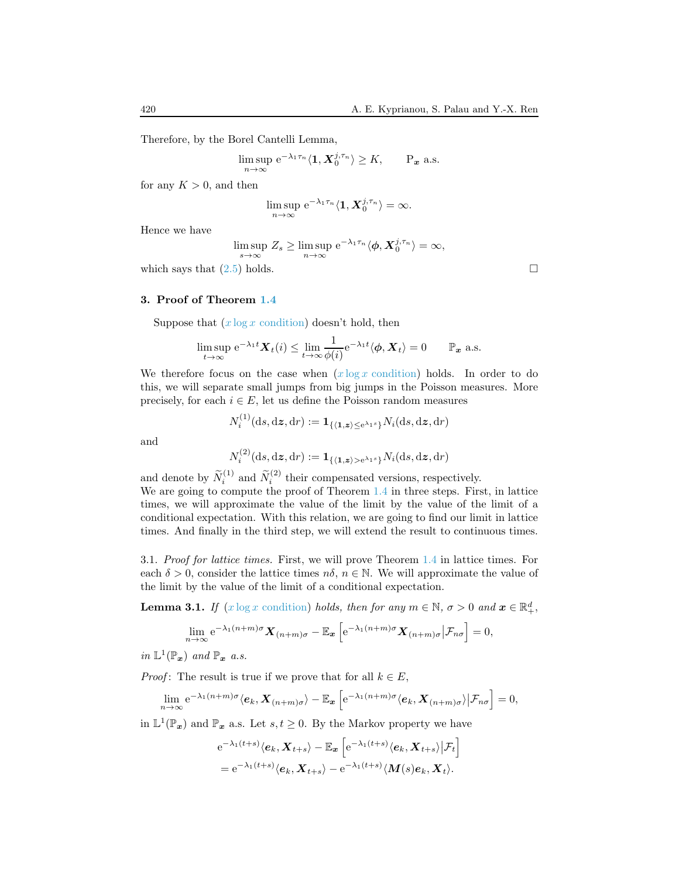Therefore, by the Borel Cantelli Lemma,

$$
\limsup_{n \to \infty} e^{-\lambda_1 \tau_n} \langle \mathbf{1}, \mathbf{X}_0^{j, \tau_n} \rangle \ge K, \qquad P_{\boldsymbol{x}} \text{ a.s.}
$$

for any  $K > 0$ , and then

$$
\limsup_{n\to\infty} e^{-\lambda_1\tau_n}\langle \mathbf{1}, \mathbf{X}_0^{j,\tau_n}\rangle = \infty.
$$

Hence we have

$$
\limsup_{s \to \infty} Z_s \ge \limsup_{n \to \infty} e^{-\lambda_1 \tau_n} \langle \phi, X_0^{j, \tau_n} \rangle = \infty,
$$

which says that  $(2.5)$  holds.

<span id="page-11-0"></span>3. Proof of Theorem [1.4](#page-4-3)

Suppose that  $(x \log x \text{ condition})$  doesn't hold, then

$$
\limsup_{t\to\infty} e^{-\lambda_1 t} \mathbf{X}_t(i) \le \lim_{t\to\infty} \frac{1}{\phi(i)} e^{-\lambda_1 t} \langle \boldsymbol{\phi}, \mathbf{X}_t \rangle = 0 \qquad \mathbb{P}_{\boldsymbol{x}} \text{ a.s.}
$$

We therefore focus on the case when  $(x \log x \text{ condition})$  holds. In order to do this, we will separate small jumps from big jumps in the Poisson measures. More precisely, for each  $i \in E$ , let us define the Poisson random measures

$$
N_i^{(1)}(\mathrm{d} s, \mathrm{d} \boldsymbol{z}, \mathrm{d} r) := \boldsymbol{1}_{\{ \langle \boldsymbol{1}, \boldsymbol{z} \rangle \leq \mathrm{e}^{\lambda_1 s} \}} N_i(\mathrm{d} s, \mathrm{d} \boldsymbol{z}, \mathrm{d} r)
$$

and

$$
N_i^{(2)}(\mathrm{d} s, \mathrm{d} \boldsymbol{z}, \mathrm{d} r) := \boldsymbol{1}_{\{ \langle \boldsymbol{1}, \boldsymbol{z} \rangle > \mathrm{e}^{\lambda_1 s} \}} N_i(\mathrm{d} s, \mathrm{d} \boldsymbol{z}, \mathrm{d} r)
$$

and denote by  $\widetilde{N}_i^{(1)}$  and  $\widetilde{N}_i^{(2)}$  their compensated versions, respectively.

We are going to compute the proof of Theorem [1.4](#page-4-3) in three steps. First, in lattice times, we will approximate the value of the limit by the value of the limit of a conditional expectation. With this relation, we are going to find our limit in lattice times. And finally in the third step, we will extend the result to continuous times.

3.1. Proof for lattice times. First, we will prove Theorem [1.4](#page-4-3) in lattice times. For each  $\delta > 0$ , consider the lattice times  $n\delta$ ,  $n \in \mathbb{N}$ . We will approximate the value of the limit by the value of the limit of a conditional expectation.

<span id="page-11-1"></span>**Lemma 3.1.** If  $(x \log x \text{ condition})$  holds, then for any  $m \in \mathbb{N}$ ,  $\sigma > 0$  and  $x \in \mathbb{R}^d_+$ ,

$$
\lim_{n\to\infty} e^{-\lambda_1(n+m)\sigma} \mathbf{X}_{(n+m)\sigma} - \mathbb{E}_{\mathbf{x}} \left[ e^{-\lambda_1(n+m)\sigma} \mathbf{X}_{(n+m)\sigma} \big| \mathcal{F}_{n\sigma} \right] = 0,
$$

in  $\mathbb{L}^1(\mathbb{P}_x)$  and  $\mathbb{P}_x$  a.s.

*Proof*: The result is true if we prove that for all  $k \in E$ ,

$$
\lim_{n\to\infty} e^{-\lambda_1(n+m)\sigma} \langle e_k, \mathbf{X}_{(n+m)\sigma} \rangle - \mathbb{E}_{\mathbf{x}} \left[ e^{-\lambda_1(n+m)\sigma} \langle e_k, \mathbf{X}_{(n+m)\sigma} \rangle | \mathcal{F}_{n\sigma} \right] = 0,
$$

in  $\mathbb{L}^1(\mathbb{P}_x)$  and  $\mathbb{P}_x$  a.s. Let  $s, t \geq 0$ . By the Markov property we have

$$
e^{-\lambda_1(t+s)}\langle e_k, \mathbf{X}_{t+s}\rangle - \mathbb{E}_{\mathbf{x}}\left[e^{-\lambda_1(t+s)}\langle e_k, \mathbf{X}_{t+s}\rangle | \mathcal{F}_t\right]
$$
  
=  $e^{-\lambda_1(t+s)}\langle e_k, \mathbf{X}_{t+s}\rangle - e^{-\lambda_1(t+s)}\langle \mathbf{M}(s)e_k, \mathbf{X}_t\rangle.$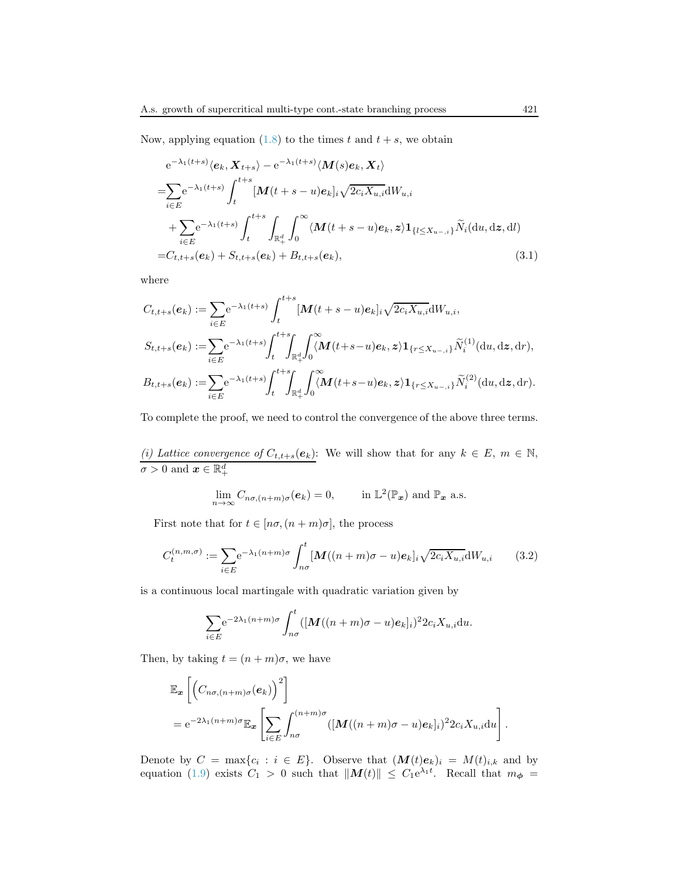Now, applying equation [\(1.8\)](#page-3-2) to the times t and  $t + s$ , we obtain

<span id="page-12-0"></span>
$$
e^{-\lambda_1(t+s)}\langle e_k, \mathbf{X}_{t+s}\rangle - e^{-\lambda_1(t+s)}\langle \mathbf{M}(s)e_k, \mathbf{X}_t\rangle
$$
  
\n
$$
= \sum_{i\in E} e^{-\lambda_1(t+s)} \int_t^{t+s} [\mathbf{M}(t+s-u)e_k]_i \sqrt{2c_i X_{u,i}} dW_{u,i}
$$
  
\n
$$
+ \sum_{i\in E} e^{-\lambda_1(t+s)} \int_t^{t+s} \int_{\mathbb{R}_+^d} \int_0^\infty \langle \mathbf{M}(t+s-u)e_k, z \rangle \mathbf{1}_{\{l \le X_{u-,i}\}} \widetilde{N}_i(du, dz, dl)
$$
  
\n
$$
= C_{t,t+s}(e_k) + S_{t,t+s}(e_k) + B_{t,t+s}(e_k), \qquad (3.1)
$$

where

$$
C_{t,t+s}(e_k) := \sum_{i \in E} e^{-\lambda_1(t+s)} \int_t^{t+s} [M(t+s-u)e_k]_i \sqrt{2c_i X_{u,i}} dW_{u,i},
$$
  
\n
$$
S_{t,t+s}(e_k) := \sum_{i \in E} e^{-\lambda_1(t+s)} \int_t^{t+s} \int_{\mathbb{R}_+^d} \int_0^{\infty} (M(t+s-u)e_k, z) \mathbf{1}_{\{r \le X_{u-,i}\}} \widetilde{N}_i^{(1)}(du, dz, dr),
$$
  
\n
$$
B_{t,t+s}(e_k) := \sum_{i \in E} e^{-\lambda_1(t+s)} \int_t^{t+s} \int_{\mathbb{R}_+^d} \int_0^{\infty} (M(t+s-u)e_k, z) \mathbf{1}_{\{r \le X_{u-,i}\}} \widetilde{N}_i^{(2)}(du, dz, dr).
$$

To complete the proof, we need to control the convergence of the above three terms.

(i) Lattice convergence of  $C_{t,t+s}(e_k)$ : We will show that for any  $k \in E$ ,  $m \in \mathbb{N}$ ,  $\sigma > 0 \text{ and } \boldsymbol{x} \in \mathbb{R}_+^d$ 

$$
\lim_{n\to\infty} C_{n\sigma,(n+m)\sigma}(e_k) = 0, \quad \text{in } \mathbb{L}^2(\mathbb{P}_x) \text{ and } \mathbb{P}_x \text{ a.s.}
$$

First note that for  $t \in [n\sigma, (n+m)\sigma]$ , the process

<span id="page-12-1"></span>
$$
C_t^{(n,m,\sigma)} := \sum_{i \in E} e^{-\lambda_1 (n+m)\sigma} \int_{n\sigma}^t \left[ \mathbf{M}((n+m)\sigma - u)\mathbf{e}_k \right]_i \sqrt{2c_i X_{u,i}} \mathrm{d}W_{u,i} \tag{3.2}
$$

is a continuous local martingale with quadratic variation given by

$$
\sum_{i\in E} e^{-2\lambda_1(n+m)\sigma} \int_{n\sigma}^t ([\boldsymbol{M}((n+m)\sigma-u)\boldsymbol{e}_k]_i)^2 2c_i X_{u,i} \mathrm{d}u.
$$

Then, by taking  $t = (n + m)\sigma$ , we have

$$
\mathbb{E}_{\mathbf{x}}\left[\left(C_{n\sigma,(n+m)\sigma}(e_k)\right)^2\right] \n= e^{-2\lambda_1(n+m)\sigma}\mathbb{E}_{\mathbf{x}}\left[\sum_{i\in E}\int_{n\sigma}^{(n+m)\sigma}([M((n+m)\sigma-u)e_k]_i)^22c_iX_{u,i}\mathrm{d}u\right].
$$

Denote by  $C = \max\{c_i : i \in E\}$ . Observe that  $(M(t)e_k)_i = M(t)_{i,k}$  and by equation [\(1.9\)](#page-3-3) exists  $C_1 > 0$  such that  $||M(t)|| \leq C_1 e^{\lambda_1 t}$ . Recall that  $m_{\phi} =$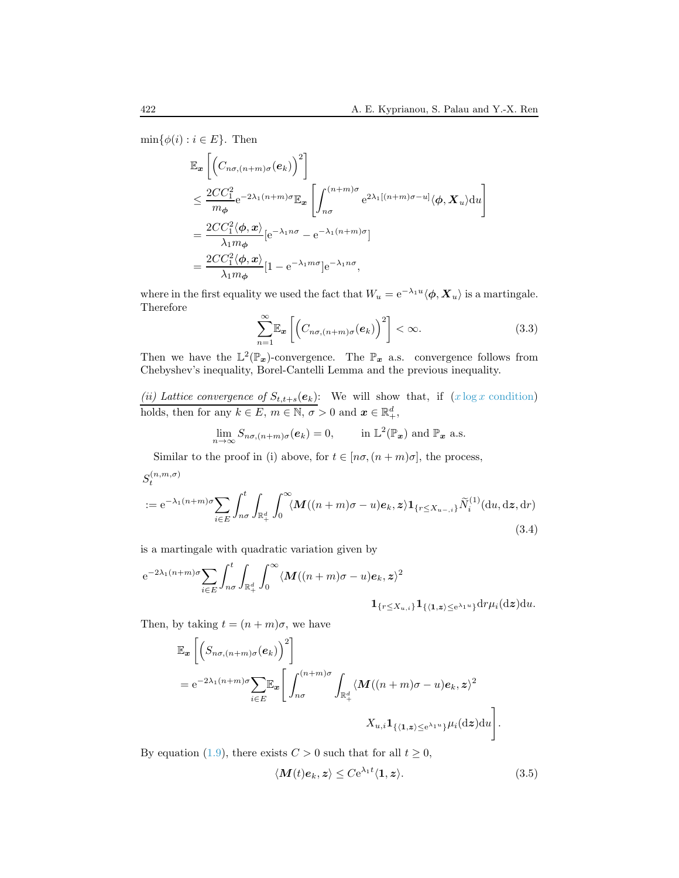$\min\{\phi(i): i \in E\}$ . Then

$$
\mathbb{E}_{\mathbf{x}}\left[\left(C_{n\sigma,(n+m)\sigma}(\mathbf{e}_k)\right)^2\right] \n\leq \frac{2CC_1^2}{m_{\phi}}e^{-2\lambda_1(n+m)\sigma}\mathbb{E}_{\mathbf{x}}\left[\int_{n\sigma}^{(n+m)\sigma} e^{2\lambda_1[(n+m)\sigma-u]} \langle \phi, \mathbf{X}_u \rangle du\right] \n= \frac{2CC_1^2 \langle \phi, \mathbf{x} \rangle}{\lambda_1 m_{\phi}} [e^{-\lambda_1 n\sigma} - e^{-\lambda_1(n+m)\sigma}] \n= \frac{2CC_1^2 \langle \phi, \mathbf{x} \rangle}{\lambda_1 m_{\phi}} [1 - e^{-\lambda_1 m\sigma}]e^{-\lambda_1 n\sigma},
$$

where in the first equality we used the fact that  $W_u = e^{-\lambda_1 u} \langle \phi, X_u \rangle$  is a martingale. Therefore

<span id="page-13-1"></span>
$$
\sum_{n=1}^{\infty} \mathbb{E}_{\mathbf{x}} \left[ \left( C_{n\sigma, (n+m)\sigma}(\mathbf{e}_k) \right)^2 \right] < \infty. \tag{3.3}
$$

Then we have the  $\mathbb{L}^2(\mathbb{P}_x)$ -convergence. The  $\mathbb{P}_x$  a.s. convergence follows from Chebyshev's inequality, Borel-Cantelli Lemma and the previous inequality.

(ii) Lattice convergence of  $S_{t,t+s}(e_k)$ : We will show that, if  $(x \log x \text{ condition})$ holds, then for any  $k \in E$ ,  $m \in \mathbb{N}$ ,  $\sigma > 0$  and  $\boldsymbol{x} \in \mathbb{R}_+^d$ ,

$$
\lim_{n\to\infty} S_{n\sigma,(n+m)\sigma}(e_k) = 0, \quad \text{in } \mathbb{L}^2(\mathbb{P}_x) \text{ and } \mathbb{P}_x \text{ a.s.}
$$

Similar to the proof in (i) above, for  $t \in [n\sigma, (n+m)\sigma]$ , the process,

<span id="page-13-2"></span>
$$
S_t^{(n,m,\sigma)}
$$
  
 :=  $e^{-\lambda_1(n+m)\sigma} \sum_{i \in E} \int_{n\sigma}^t \int_{\mathbb{R}_+^d} \int_0^\infty \langle M((n+m)\sigma - u)e_k, z \rangle \mathbf{1}_{\{r \le X_{u-,i}\}} \widetilde{N}_i^{(1)}(\mathrm{d}u, \mathrm{d}z, \mathrm{d}r)$  (3.4)

is a martingale with quadratic variation given by

$$
e^{-2\lambda_1(n+m)\sigma} \sum_{i \in E} \int_{n\sigma}^t \int_{\mathbb{R}_+^d} \int_0^\infty \langle M((n+m)\sigma - u)e_k, z \rangle^2
$$

$$
\mathbf{1}_{\{r \le X_{u,i}\}} \mathbf{1}_{\{\langle 1, z \rangle \le e^{\lambda_1 u}\}} dr \mu_i(dz) du.
$$

Then, by taking  $t = (n + m)\sigma$ , we have

$$
\mathbb{E}_{\mathbf{x}}\left[\left(S_{n\sigma,(n+m)\sigma}(e_k)\right)^2\right]
$$
  
=  $e^{-2\lambda_1(n+m)\sigma}\sum_{i\in E}\mathbb{E}_{\mathbf{x}}\left[\int_{n\sigma}^{(n+m)\sigma}\int_{\mathbb{R}_+^d}\langle M((n+m)\sigma-u)e_k,z\rangle^2$ 
$$
X_{u,i}\mathbf{1}_{\{\langle 1,z\rangle\leq e^{\lambda_1 u}\}}\mu_i(\mathrm{d}z)\mathrm{d}u\right].
$$

By equation [\(1.9\)](#page-3-3), there exists  $C > 0$  such that for all  $t \ge 0$ ,

<span id="page-13-0"></span>
$$
\langle \mathbf{M}(t)\mathbf{e}_k, z \rangle \leq C \mathrm{e}^{\lambda_1 t} \langle \mathbf{1}, z \rangle. \tag{3.5}
$$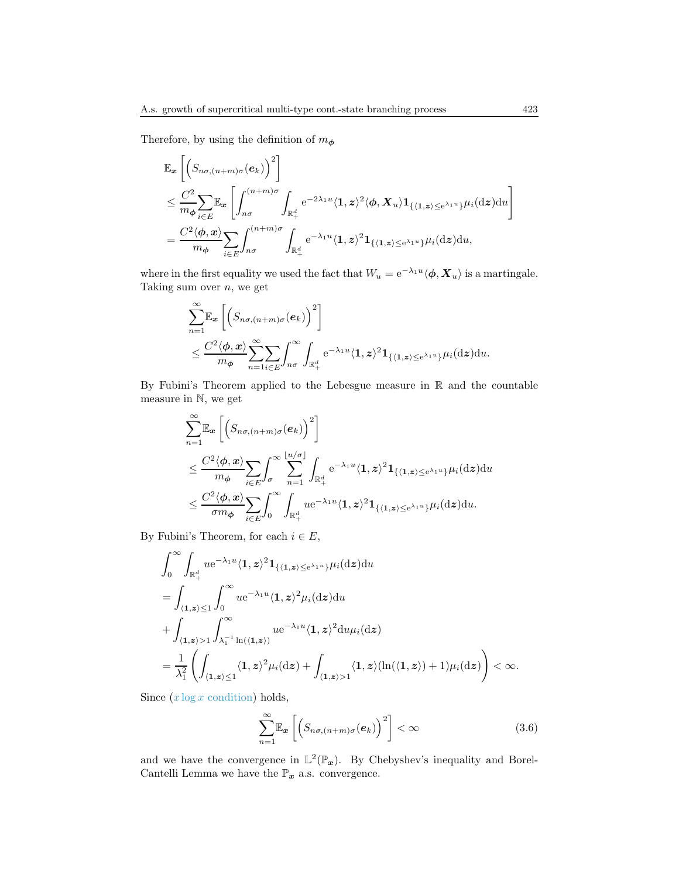$\sim$ 

Therefore, by using the definition of  $m_{\phi}$ 

$$
\mathbb{E}_{\mathbf{x}}\left[\left(S_{n\sigma,(n+m)\sigma}(e_k)\right)^2\right] \n\leq \frac{C^2}{m\phi}\sum_{i\in E}\mathbb{E}_{\mathbf{x}}\left[\int_{n\sigma}^{(n+m)\sigma}\int_{\mathbb{R}_+^d}e^{-2\lambda_1 u}\langle 1,z\rangle^2\langle\phi,X_u\rangle 1_{\{\langle 1,z\rangle\leq e^{\lambda_1 u}\}}\mu_i(\mathrm{d}z)\mathrm{d}u\right] \n= \frac{C^2\langle\phi,x\rangle}{m\phi}\sum_{i\in E}\int_{n\sigma}^{(n+m)\sigma}\int_{\mathbb{R}_+^d}e^{-\lambda_1 u}\langle 1,z\rangle^2 1_{\{\langle 1,z\rangle\leq e^{\lambda_1 u}\}}\mu_i(\mathrm{d}z)\mathrm{d}u,
$$

where in the first equality we used the fact that  $W_u = e^{-\lambda_1 u} \langle \phi, X_u \rangle$  is a martingale. Taking sum over  $n$ , we get

$$
\sum_{n=1}^{\infty} \mathbb{E}_{\mathbf{x}} \left[ \left( S_{n\sigma,(n+m)\sigma}(\mathbf{e}_k) \right)^2 \right] \n\leq \frac{C^2 \langle \phi, \mathbf{x} \rangle}{m_{\phi}} \sum_{n=1}^{\infty} \sum_{i \in E} \int_{n\sigma}^{\infty} \int_{\mathbb{R}_+^d} e^{-\lambda_1 u} \langle \mathbf{1}, \mathbf{z} \rangle^2 \mathbf{1}_{\{ \langle \mathbf{1}, \mathbf{z} \rangle \leq e^{\lambda_1 u} \} } \mu_i(\mathrm{d}\mathbf{z}) \mathrm{d}u.
$$

By Fubini's Theorem applied to the Lebesgue measure in  $\mathbb R$  and the countable measure in N, we get

$$
\sum_{n=1}^{\infty} \mathbb{E}_{\mathbf{x}} \left[ \left( S_{n\sigma,(n+m)\sigma}(\mathbf{e}_k) \right)^2 \right] \n\leq \frac{C^2 \langle \phi, \mathbf{x} \rangle}{m_{\phi}} \sum_{i \in E} \int_{\sigma}^{\infty} \sum_{n=1}^{\lfloor u/\sigma \rfloor} \int_{\mathbb{R}_+^d} e^{-\lambda_1 u} \langle \mathbf{1}, \mathbf{z} \rangle^2 \mathbf{1}_{\{(1,\mathbf{z}) \leq e^{\lambda_1 u}\}} \mu_i(\mathrm{d}\mathbf{z}) \mathrm{d}u \n\leq \frac{C^2 \langle \phi, \mathbf{x} \rangle}{\sigma m_{\phi}} \sum_{i \in E} \int_{0}^{\infty} \int_{\mathbb{R}_+^d} u e^{-\lambda_1 u} \langle \mathbf{1}, \mathbf{z} \rangle^2 \mathbf{1}_{\{\langle \mathbf{1}, \mathbf{z} \rangle \leq e^{\lambda_1 u}\}} \mu_i(\mathrm{d}\mathbf{z}) \mathrm{d}u.
$$

By Fubini's Theorem, for each  $i \in E$ ,

$$
\int_0^\infty \int_{\mathbb{R}_+^d} u e^{-\lambda_1 u} \langle 1, z \rangle^2 \mathbf{1}_{\{\langle 1, z \rangle \le e^{\lambda_1 u}\}} \mu_i(\mathrm{d}z) \mathrm{d}u
$$
\n
$$
= \int_{\langle 1, z \rangle \le 1} \int_0^\infty u e^{-\lambda_1 u} \langle 1, z \rangle^2 \mu_i(\mathrm{d}z) \mathrm{d}u
$$
\n
$$
+ \int_{\langle 1, z \rangle > 1} \int_{\lambda_1^{-1} \ln(\langle 1, z \rangle)}^{\infty} u e^{-\lambda_1 u} \langle 1, z \rangle^2 \mathrm{d}u \mu_i(\mathrm{d}z)
$$
\n
$$
= \frac{1}{\lambda_1^2} \left( \int_{\langle 1, z \rangle \le 1} \langle 1, z \rangle^2 \mu_i(\mathrm{d}z) + \int_{\langle 1, z \rangle > 1} \langle 1, z \rangle (\ln(\langle 1, z \rangle) + 1) \mu_i(\mathrm{d}z) \right) < \infty.
$$

Since  $(x \log x \text{ condition})$  holds,

<span id="page-14-0"></span>
$$
\sum_{n=1}^{\infty} \mathbb{E}_{\mathbf{x}} \left[ \left( S_{n\sigma,(n+m)\sigma}(\mathbf{e}_k) \right)^2 \right] < \infty \tag{3.6}
$$

and we have the convergence in  $\mathbb{L}^2(\mathbb{P}_x)$ . By Chebyshev's inequality and Borel-Cantelli Lemma we have the  $\mathbb{P}_x$  a.s. convergence.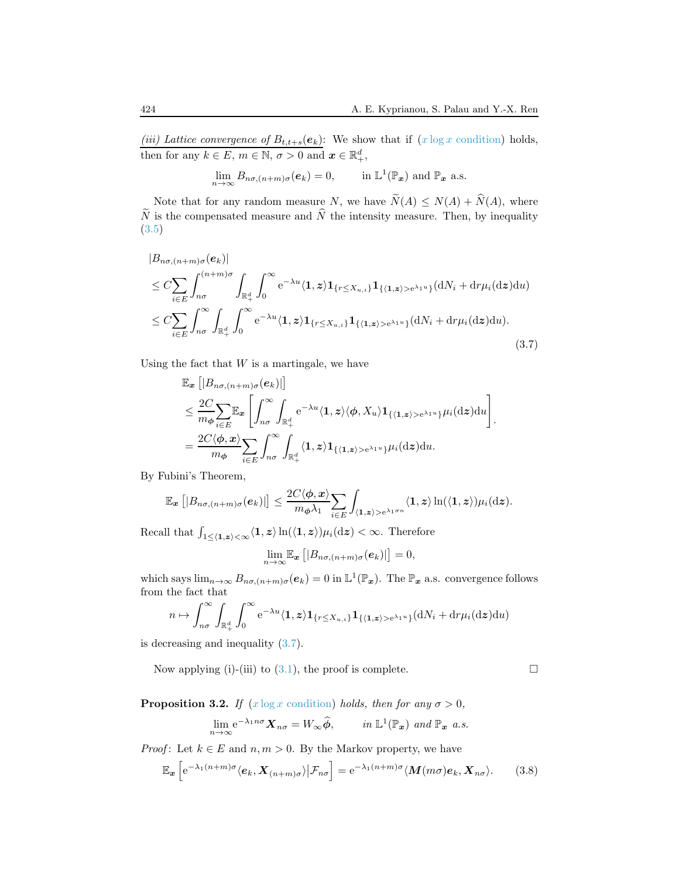(iii) Lattice convergence of  $B_{t,t+s}(e_k)$ : We show that if  $(x \log x \text{ condition})$  holds, then for any  $k \in E$ ,  $m \in \mathbb{N}$ ,  $\sigma > 0$  and  $\boldsymbol{x} \in \mathbb{R}_+^d$ ,

$$
\lim_{n\to\infty} B_{n\sigma,(n+m)\sigma}(e_k) = 0, \quad \text{in } \mathbb{L}^1(\mathbb{P}_x) \text{ and } \mathbb{P}_x \text{ a.s.}
$$

Note that for any random measure N, we have  $\widetilde{N}(A) \le N(A) + \widehat{N}(A)$ , where  $\widetilde{N}$  is the compensated measure and  $\widehat{N}$  the intensity measure. Then, by inequality [\(3.5\)](#page-13-0)

<span id="page-15-0"></span>
$$
|B_{n\sigma,(n+m)\sigma}(e_k)|
$$
  
\n
$$
\leq C \sum_{i \in E} \int_{n\sigma}^{(n+m)\sigma} \int_{\mathbb{R}_+^d} \int_0^\infty e^{-\lambda u} \langle \mathbf{1}, \mathbf{z} \rangle \mathbf{1}_{\{r \leq X_{u,i}\}} \mathbf{1}_{\{\langle \mathbf{1}, \mathbf{z} \rangle > e^{\lambda_1 u}\}}(\mathrm{d}N_i + \mathrm{d}r\mu_i(\mathrm{d}\mathbf{z})\mathrm{d}u)
$$
  
\n
$$
\leq C \sum_{i \in E} \int_{n\sigma}^\infty \int_{\mathbb{R}_+^d} \int_0^\infty e^{-\lambda u} \langle \mathbf{1}, \mathbf{z} \rangle \mathbf{1}_{\{r \leq X_{u,i}\}} \mathbf{1}_{\{\langle \mathbf{1}, \mathbf{z} \rangle > e^{\lambda_1 u}\}}(\mathrm{d}N_i + \mathrm{d}r\mu_i(\mathrm{d}\mathbf{z})\mathrm{d}u).
$$
\n(3.7)

Using the fact that  $W$  is a martingale, we have

$$
\mathbb{E}_{\mathbf{x}}\left[|B_{n\sigma,(n+m)\sigma}(e_k)|\right] \n\leq \frac{2C}{m_{\phi}} \sum_{i \in E} \mathbb{E}_{\mathbf{x}}\left[\int_{n\sigma}^{\infty} \int_{\mathbb{R}^d_+} e^{-\lambda u} \langle \mathbf{1}, \mathbf{z} \rangle \langle \phi, X_u \rangle \mathbf{1}_{\{\langle \mathbf{1}, \mathbf{z} \rangle > e^{\lambda_1 u}\} } \mu_i(\mathrm{d}\mathbf{z}) \mathrm{d}u\right] \n= \frac{2C \langle \phi, \mathbf{x} \rangle}{m_{\phi}} \sum_{i \in E} \int_{n\sigma}^{\infty} \int_{\mathbb{R}^d_+} \langle \mathbf{1}, \mathbf{z} \rangle \mathbf{1}_{\{\langle \mathbf{1}, \mathbf{z} \rangle > e^{\lambda_1 u}\} } \mu_i(\mathrm{d}\mathbf{z}) \mathrm{d}u.
$$

By Fubini's Theorem,

$$
\mathbb{E}_{\boldsymbol{x}}\left[|B_{n\sigma,(n+m)\sigma}(\boldsymbol{e}_k)|\right] \leq \frac{2C\langle\boldsymbol{\phi},\boldsymbol{x}\rangle}{m_{\boldsymbol{\phi}}\lambda_1} \sum_{i\in E} \int_{\langle\boldsymbol{1},\boldsymbol{z}\rangle > e^{\lambda_1\sigma n}} \langle\boldsymbol{1},\boldsymbol{z}\rangle \ln(\langle\boldsymbol{1},\boldsymbol{z}\rangle)\mu_i(\mathrm{d}\boldsymbol{z}).
$$

Recall that  $\int_{1 \le \langle 1, z \rangle \le \infty} \langle 1, z \rangle \ln(\langle 1, z \rangle) \mu_i(\mathrm{d}z) < \infty$ . Therefore

$$
\lim_{n\to\infty}\mathbb{E}_{\boldsymbol{x}}\left[|B_{n\sigma,(n+m)\sigma}(\boldsymbol{e}_k)|\right]=0,
$$

which says  $\lim_{n\to\infty} B_{n\sigma,(n+m)\sigma}(e_k) = 0$  in  $\mathbb{L}^1(\mathbb{P}_x)$ . The  $\mathbb{P}_x$  a.s. convergence follows from the fact that

$$
n \mapsto \int_{n\sigma}^{\infty} \int_{\mathbb{R}_+^d} \int_0^{\infty} e^{-\lambda u} \langle \mathbf{1}, \mathbf{z} \rangle \mathbf{1}_{\{r \le X_{u,i}\}} \mathbf{1}_{\{\langle \mathbf{1}, \mathbf{z} \rangle > e^{\lambda_1 u}\}}(\mathrm{d}N_i + \mathrm{d}r\mu_i(\mathrm{d}\mathbf{z})\mathrm{d}u)
$$

is decreasing and inequality [\(3.7\)](#page-15-0).

Now applying (i)-(iii) to [\(3.1\)](#page-12-0), the proof is complete.  $\Box$ 

<span id="page-15-2"></span>**Proposition 3.2.** If  $(x \log x \text{ condition})$  holds, then for any  $\sigma > 0$ ,

$$
\lim_{n \to \infty} e^{-\lambda_1 n \sigma} \mathbf{X}_{n\sigma} = W_{\infty} \widehat{\phi}, \qquad \text{in } \mathbb{L}^1(\mathbb{P}_x) \text{ and } \mathbb{P}_x \text{ a.s.}
$$

*Proof:* Let  $k \in E$  and  $n, m > 0$ . By the Markov property, we have

<span id="page-15-1"></span>
$$
\mathbb{E}_{\boldsymbol{x}}\left[e^{-\lambda_1(n+m)\sigma}\langle\boldsymbol{e}_k,\boldsymbol{X}_{(n+m)\sigma}\rangle\big|\mathcal{F}_{n\sigma}\right] = e^{-\lambda_1(n+m)\sigma}\langle\boldsymbol{M}(m\sigma)\boldsymbol{e}_k,\boldsymbol{X}_{n\sigma}\rangle. \tag{3.8}
$$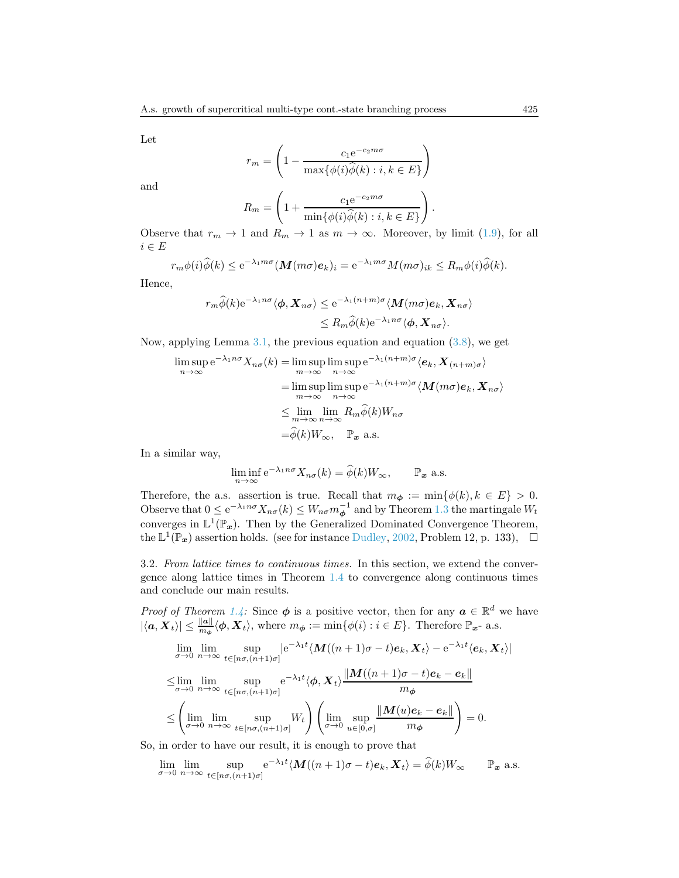Let

$$
r_m = \left(1 - \frac{c_1 e^{-c_2 m \sigma}}{\max\{\phi(i)\widehat{\phi}(k) : i, k \in E\}}\right)
$$

and

$$
R_m = \left(1 + \frac{c_1 e^{-c_2 m \sigma}}{\min\{\phi(i)\widehat{\phi}(k) : i, k \in E\}}\right).
$$

Observe that  $r_m \to 1$  and  $R_m \to 1$  as  $m \to \infty$ . Moreover, by limit [\(1.9\)](#page-3-3), for all  $i \in E$ 

$$
r_m \phi(i) \widehat{\phi}(k) \le e^{-\lambda_1 m \sigma} (\mathbf{M}(m \sigma) \mathbf{e}_k)_i = e^{-\lambda_1 m \sigma} M(m \sigma)_{ik} \le R_m \phi(i) \widehat{\phi}(k).
$$

Hence,

$$
r_m \widehat{\phi}(k) e^{-\lambda_1 n \sigma} \langle \phi, \mathbf{X}_{n\sigma} \rangle \leq e^{-\lambda_1 (n+m)\sigma} \langle \mathbf{M}(m\sigma) \mathbf{e}_k, \mathbf{X}_{n\sigma} \rangle
$$
  

$$
\leq R_m \widehat{\phi}(k) e^{-\lambda_1 n \sigma} \langle \phi, \mathbf{X}_{n\sigma} \rangle.
$$

Now, applying Lemma  $3.1$ , the previous equation and equation  $(3.8)$ , we get

$$
\limsup_{n \to \infty} e^{-\lambda_1 n \sigma} X_{n\sigma}(k) = \limsup_{m \to \infty} \limsup_{n \to \infty} e^{-\lambda_1 (n+m)\sigma} \langle e_k, X_{(n+m)\sigma} \rangle
$$
  
\n
$$
= \limsup_{m \to \infty} \limsup_{n \to \infty} e^{-\lambda_1 (n+m)\sigma} \langle M(m\sigma) e_k, X_{n\sigma} \rangle
$$
  
\n
$$
\leq \lim_{m \to \infty} \lim_{n \to \infty} R_m \widehat{\phi}(k) W_{n\sigma}
$$
  
\n
$$
= \widehat{\phi}(k) W_{\infty}, \quad \mathbb{P}_x \text{ a.s.}
$$

In a similar way,

$$
\liminf_{n \to \infty} e^{-\lambda_1 n \sigma} X_{n\sigma}(k) = \widehat{\phi}(k) W_{\infty}, \qquad \mathbb{P}_x \text{ a.s.}
$$

Therefore, the a.s. assertion is true. Recall that  $m_{\phi} := \min\{\phi(k), k \in E\} > 0$ . Observe that  $0 \le e^{-\lambda_1 n \sigma} X_{n\sigma}(k) \le W_{n\sigma} m_{\phi}^{-1}$  and by Theorem [1.3](#page-4-0) the martingale  $W_t$ converges in  $\mathbb{L}^1(\mathbb{P}_x)$ . Then by the Generalized Dominated Convergence Theorem, the  $\mathbb{L}^1(\mathbb{P}_x)$  assertion holds. (see for instance [Dudley,](#page-19-6) [2002](#page-19-6), Problem 12, p. 133),  $\Box$ 

3.2. From lattice times to continuous times. In this section, we extend the convergence along lattice times in Theorem [1.4](#page-4-3) to convergence along continuous times and conclude our main results.

*Proof of Theorem [1.4:](#page-4-3)* Since  $\phi$  is a positive vector, then for any  $a \in \mathbb{R}^d$  we have  $|\langle a, X_t \rangle| \leq \frac{\|a\|}{m_{\phi}} \langle \phi, X_t \rangle$ , where  $m_{\phi} := \min{\{\phi(i) : i \in E\}}$ . Therefore  $\mathbb{P}_{x}$ - a.s.

$$
\lim_{\sigma \to 0} \lim_{n \to \infty} \sup_{t \in [n\sigma, (n+1)\sigma]} |e^{-\lambda_1 t} \langle M((n+1)\sigma - t)e_k, X_t \rangle - e^{-\lambda_1 t} \langle e_k, X_t \rangle|
$$
\n
$$
\leq \lim_{\sigma \to 0} \lim_{n \to \infty} \sup_{t \in [n\sigma, (n+1)\sigma]} e^{-\lambda_1 t} \langle \phi, X_t \rangle \frac{\|M((n+1)\sigma - t)e_k - e_k\|}{m_\phi}
$$
\n
$$
\leq \left(\lim_{\sigma \to 0} \lim_{n \to \infty} \sup_{t \in [n\sigma, (n+1)\sigma]} W_t \right) \left(\lim_{\sigma \to 0} \sup_{u \in [0,\sigma]} \frac{\|M(u)e_k - e_k\|}{m_\phi} \right) = 0.
$$

So, in order to have our result, it is enough to prove that

$$
\lim_{\sigma \to 0} \lim_{n \to \infty} \sup_{t \in [n\sigma, (n+1)\sigma]} e^{-\lambda_1 t} \langle M((n+1)\sigma - t) e_k, X_t \rangle = \widehat{\phi}(k) W_{\infty} \qquad \mathbb{P}_x \text{ a.s.}
$$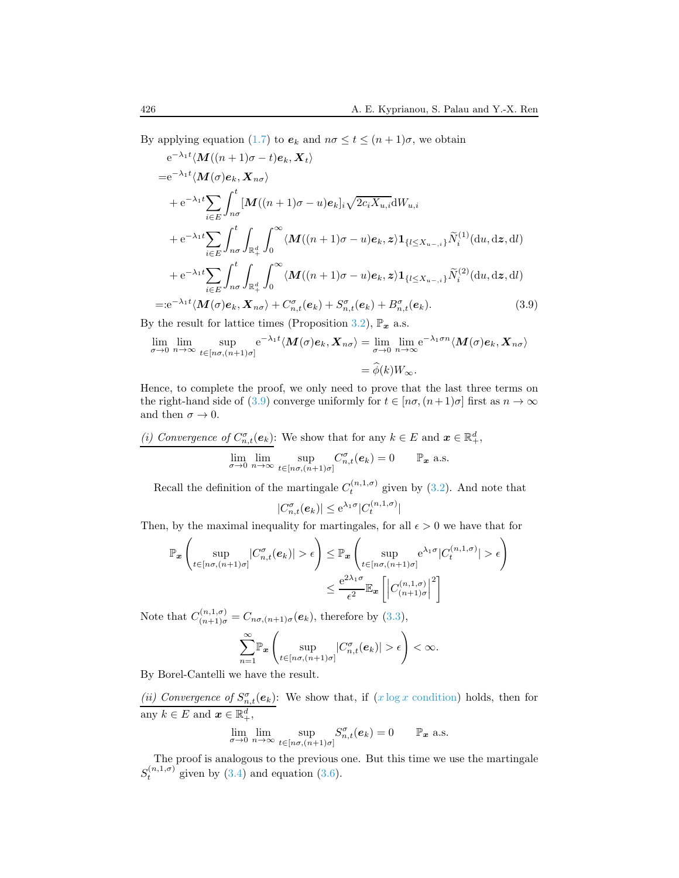By applying equation [\(1.7\)](#page-2-2) to  $e_k$  and  $n\sigma \le t \le (n+1)\sigma$ , we obtain

$$
e^{-\lambda_1 t} \langle \mathbf{M}((n+1)\sigma - t)e_k, \mathbf{X}_t \rangle
$$
  
\n
$$
= e^{-\lambda_1 t} \langle \mathbf{M}(\sigma)e_k, \mathbf{X}_{n\sigma} \rangle
$$
  
\n
$$
+ e^{-\lambda_1 t} \sum_{i \in E} \int_{n\sigma}^t [\mathbf{M}((n+1)\sigma - u)e_k]_i \sqrt{2c_i \mathbf{X}_{u,i}} dW_{u,i}
$$
  
\n
$$
+ e^{-\lambda_1 t} \sum_{i \in E} \int_{n\sigma}^t \int_{\mathbb{R}_+^d} \int_0^\infty \langle \mathbf{M}((n+1)\sigma - u)e_k, \mathbf{z} \rangle \mathbf{1}_{\{l \le \mathbf{X}_{u-,i}\}} \widetilde{N}_i^{(1)}(du, d\mathbf{z}, dl)
$$
  
\n
$$
+ e^{-\lambda_1 t} \sum_{i \in E} \int_{n\sigma}^t \int_{\mathbb{R}_+^d} \int_0^\infty \langle \mathbf{M}((n+1)\sigma - u)e_k, \mathbf{z} \rangle \mathbf{1}_{\{l \le \mathbf{X}_{u-,i}\}} \widetilde{N}_i^{(2)}(du, d\mathbf{z}, dl)
$$
  
\n
$$
= : e^{-\lambda_1 t} \langle \mathbf{M}(\sigma)e_k, \mathbf{X}_{n\sigma} \rangle + C_{n,t}^{\sigma}(e_k) + S_{n,t}^{\sigma}(e_k) + B_{n,t}^{\sigma}(e_k). \tag{3.9}
$$

By the result for lattice times (Proposition [3.2\)](#page-15-2),  $\mathbb{P}_x$  a.s.

$$
\lim_{\sigma \to 0} \lim_{n \to \infty} \sup_{t \in [n\sigma, (n+1)\sigma]} e^{-\lambda_1 t} \langle M(\sigma) e_k, X_{n\sigma} \rangle = \lim_{\sigma \to 0} \lim_{n \to \infty} e^{-\lambda_1 \sigma n} \langle M(\sigma) e_k, X_{n\sigma} \rangle
$$

$$
= \widehat{\phi}(k) W_{\infty}.
$$

Hence, to complete the proof, we only need to prove that the last three terms on the right-hand side of [\(3.9\)](#page-17-0) converge uniformly for  $t \in [n\sigma, (n+1)\sigma]$  first as  $n \to \infty$ and then  $\sigma \to 0$ .

(i) Convergence of 
$$
C_{n,t}^{\sigma}(e_k)
$$
: We show that for any  $k \in E$  and  $x \in \mathbb{R}_+^d$ ,  
\n
$$
\lim_{\sigma \to 0} \lim_{n \to \infty} \sup_{t \in [n\sigma, (n+1)\sigma]} C_{n,t}^{\sigma}(e_k) = 0 \qquad \mathbb{P}_x \text{ a.s.}
$$

Recall the definition of the martingale  $C_t^{(n,1,\sigma)}$  given by [\(3.2\)](#page-12-1). And note that

<span id="page-17-0"></span>
$$
|C_{n,t}^{\sigma}(e_k)| \leq e^{\lambda_1 \sigma} |C_t^{(n,1,\sigma)}|
$$

Then, by the maximal inequality for martingales, for all  $\epsilon > 0$  we have that for

$$
\mathbb{P}_{\boldsymbol{x}}\left(\sup_{t\in[n\sigma,(n+1)\sigma]}|C_{n,t}^{\sigma}(e_k)|>\epsilon\right) \leq \mathbb{P}_{\boldsymbol{x}}\left(\sup_{t\in[n\sigma,(n+1)\sigma]}e^{\lambda_1\sigma}|C_t^{(n,1,\sigma)}|>\epsilon\right) \leq \frac{e^{2\lambda_1\sigma}}{\epsilon^2}\mathbb{E}_{\boldsymbol{x}}\left[\left|C_{(n+1)\sigma}^{(n,1,\sigma)}\right|^2\right]
$$

Note that  $C_{(n+1)\sigma}^{(n,1,\sigma)} = C_{n\sigma,(n+1)\sigma}(\mathbf{e}_k)$ , therefore by  $(3.3)$ ,

$$
\sum_{n=1}^{\infty} \mathbb{P}_{\boldsymbol{x}}\left(\sup_{t\in [n\sigma,(n+1)\sigma]} |C^{\sigma}_{n,t}(e_k)| > \epsilon\right) < \infty.
$$

By Borel-Cantelli we have the result.

(ii) Convergence of  $S_{n,t}^{\sigma}(\mathbf{e}_k)$ : We show that, if  $(x \log x \text{ condition})$  holds, then for any  $k \in E$  and  $\boldsymbol{x} \in \mathbb{R}_+^d$ ,

$$
\lim_{\sigma \to 0} \lim_{n \to \infty} \sup_{t \in [n\sigma, (n+1)\sigma]} S_{n,t}^{\sigma}(e_k) = 0 \qquad \mathbb{P}_x \text{ a.s.}
$$

The proof is analogous to the previous one. But this time we use the martingale  $S_t^{(n,1,\sigma)}$  given by [\(3.4\)](#page-13-2) and equation [\(3.6\)](#page-14-0).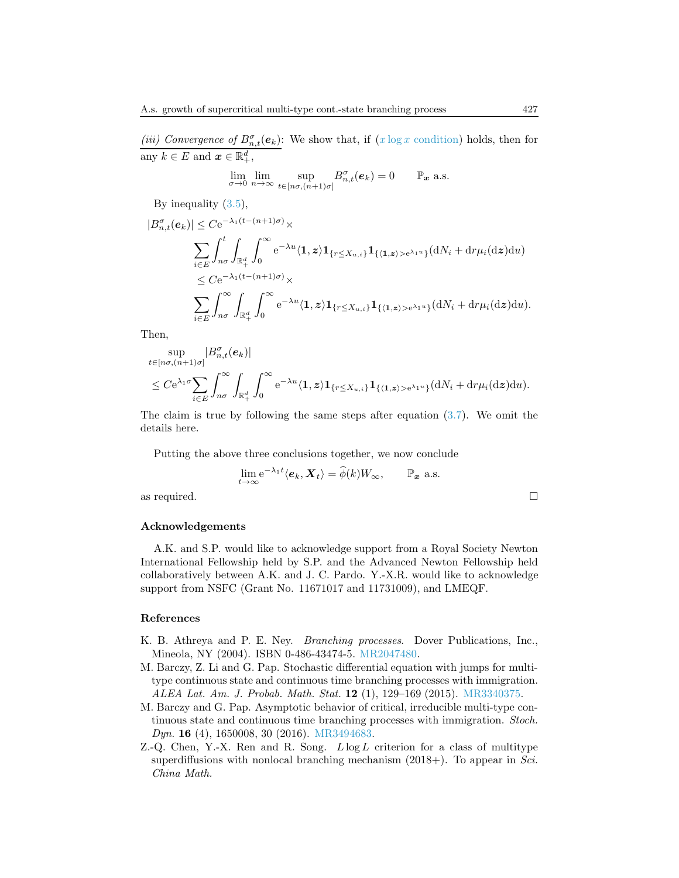(iii) Convergence of  $B_{n,t}^{\sigma}(\mathbf{e}_k)$ : We show that, if  $(x \log x \text{ condition})$  holds, then for any  $k \in E$  and  $\boldsymbol{x} \in \mathbb{R}_+^d$ ,

$$
\lim_{\sigma \to 0} \lim_{n \to \infty} \sup_{t \in [n\sigma, (n+1)\sigma]} B^{\sigma}_{n,t}(e_k) = 0 \qquad \mathbb{P}_x \text{ a.s.}
$$

By inequality [\(3.5\)](#page-13-0),

$$
|B_{n,t}^{\sigma}(e_k)| \leq C e^{-\lambda_1 (t-(n+1)\sigma)} \times
$$
  

$$
\sum_{i \in E} \int_{n\sigma}^{t} \int_{\mathbb{R}_+^d} \int_0^{\infty} e^{-\lambda u} \langle \mathbf{1}, \mathbf{z} \rangle \mathbf{1}_{\{r \leq X_{u,i}\}} \mathbf{1}_{\{\langle \mathbf{1}, \mathbf{z} \rangle > e^{\lambda_1 u}\}} (\mathrm{d}N_i + \mathrm{d}r\mu_i(\mathrm{d}\mathbf{z}) \mathrm{d}u)
$$
  

$$
\leq C e^{-\lambda_1 (t-(n+1)\sigma)} \times
$$
  

$$
\sum_{i \in E} \int_{n\sigma}^{\infty} \int_{\mathbb{R}_+^d} \int_0^{\infty} e^{-\lambda u} \langle \mathbf{1}, \mathbf{z} \rangle \mathbf{1}_{\{r \leq X_{u,i}\}} \mathbf{1}_{\{\langle \mathbf{1}, \mathbf{z} \rangle > e^{\lambda_1 u}\}} (\mathrm{d}N_i + \mathrm{d}r\mu_i(\mathrm{d}\mathbf{z}) \mathrm{d}u).
$$

Then,

$$
\sup_{t \in [n\sigma, (n+1)\sigma]} |B^{\sigma}_{n,t}(e_k)|
$$
\n
$$
\leq C e^{\lambda_1 \sigma} \sum_{i \in E} \int_{n\sigma}^{\infty} \int_{\mathbb{R}_+^d} \int_0^{\infty} e^{-\lambda u} \langle \mathbf{1}, z \rangle \mathbf{1}_{\{r \leq X_{u,i}\}} \mathbf{1}_{\{\langle \mathbf{1}, z \rangle > e^{\lambda_1 u}\}} (\mathrm{d}N_i + \mathrm{d}r \mu_i(\mathrm{d}z) \mathrm{d}u).
$$

The claim is true by following the same steps after equation [\(3.7\)](#page-15-0). We omit the details here.

Putting the above three conclusions together, we now conclude

$$
\lim_{t \to \infty} e^{-\lambda_1 t} \langle e_k, \mathbf{X}_t \rangle = \widehat{\phi}(k) W_{\infty}, \qquad \mathbb{P}_x \text{ a.s.}
$$

as required.

#### Acknowledgements

A.K. and S.P. would like to acknowledge support from a Royal Society Newton International Fellowship held by S.P. and the Advanced Newton Fellowship held collaboratively between A.K. and J. C. Pardo. Y.-X.R. would like to acknowledge support from NSFC (Grant No. 11671017 and 11731009), and LMEQF.

#### References

- <span id="page-18-2"></span>K. B. Athreya and P. E. Ney. Branching processes. Dover Publications, Inc., Mineola, NY (2004). ISBN 0-486-43474-5. [MR2047480.](http://www.ams.org/mathscinet-getitem?mr=MR2047480)
- <span id="page-18-0"></span>M. Barczy, Z. Li and G. Pap. Stochastic differential equation with jumps for multitype continuous state and continuous time branching processes with immigration. ALEA Lat. Am. J. Probab. Math. Stat. 12 (1), 129–169 (2015). [MR3340375.](http://www.ams.org/mathscinet-getitem?mr=MR3340375)
- <span id="page-18-1"></span>M. Barczy and G. Pap. Asymptotic behavior of critical, irreducible multi-type continuous state and continuous time branching processes with immigration. Stoch. Dyn. 16 (4), 1650008, 30 (2016). [MR3494683.](http://www.ams.org/mathscinet-getitem?mr=MR3494683)
- <span id="page-18-3"></span>Z.-Q. Chen, Y.-X. Ren and R. Song.  $L \log L$  criterion for a class of multitype superdiffusions with nonlocal branching mechanism  $(2018+)$ . To appear in *Sci.* China Math.